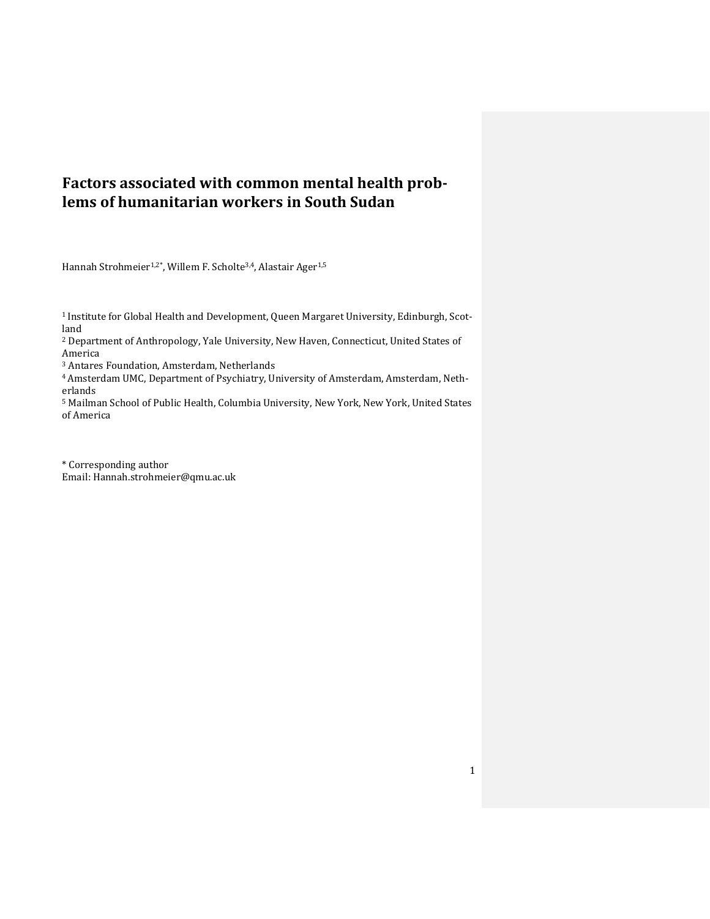## **Factors associated with common mental health problems of humanitarian workers in South Sudan**

Hannah Strohmeier<sup>1,2\*</sup>, Willem F. Scholte<sup>3,4</sup>, Alastair Ager<sup>1,5</sup>

1 Institute for Global Health and Development, Queen Margaret University, Edinburgh, Scotland

<sup>2</sup> Department of Anthropology, Yale University, New Haven, Connecticut, United States of America

<sup>3</sup> Antares Foundation, Amsterdam, Netherlands

4Amsterdam UMC, Department of Psychiatry, University of Amsterdam, Amsterdam, Netherlands

<sup>5</sup> Mailman School of Public Health, Columbia University, New York, New York, United States of America

\* Corresponding author Email: Hannah.strohmeier@qmu.ac.uk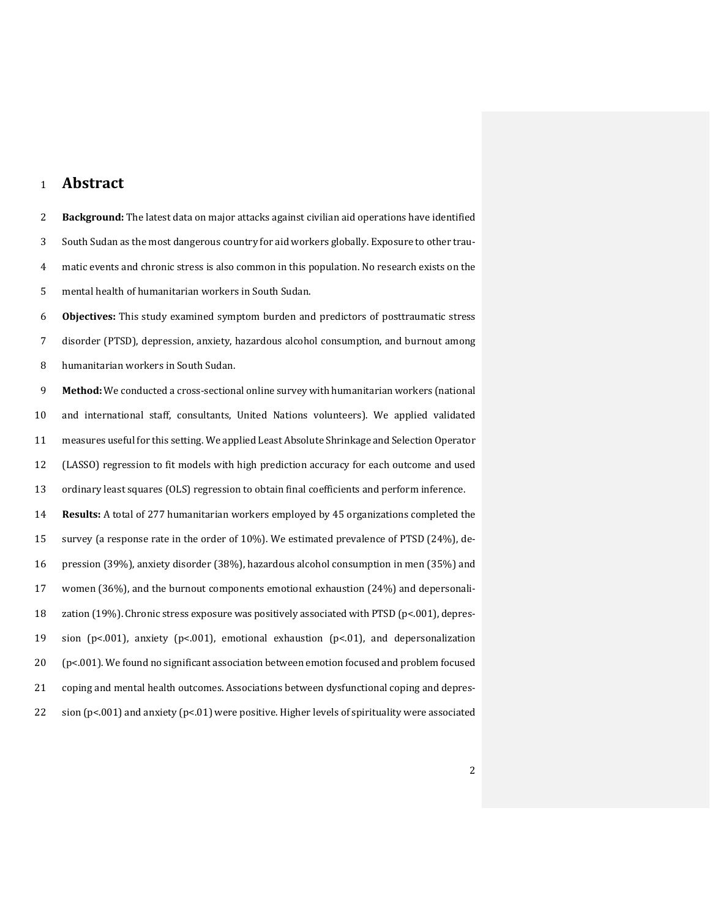## **Abstract**

 **Background:** The latest data on major attacks against civilian aid operations have identified South Sudan as the most dangerous country for aid workers globally. Exposure to other trau- matic events and chronic stress is also common in this population. No research exists on the mental health of humanitarian workers in South Sudan.

 **Objectives:** This study examined symptom burden and predictors of posttraumatic stress disorder (PTSD), depression, anxiety, hazardous alcohol consumption, and burnout among humanitarian workers in South Sudan.

 **Method:** We conducted a cross-sectional online survey with humanitarian workers (national and international staff, consultants, United Nations volunteers). We applied validated measures useful for this setting. We applied Least Absolute Shrinkage and Selection Operator (LASSO) regression to fit models with high prediction accuracy for each outcome and used ordinary least squares (OLS) regression to obtain final coefficients and perform inference. **Results:** A total of 277 humanitarian workers employed by 45 organizations completed the survey (a response rate in the order of 10%). We estimated prevalence of PTSD (24%), de- pression (39%), anxiety disorder (38%), hazardous alcohol consumption in men (35%) and women (36%), and the burnout components emotional exhaustion (24%) and depersonali-18 zation (19%). Chronic stress exposure was positively associated with PTSD (p<.001), depres- sion (p<.001), anxiety (p<.001), emotional exhaustion (p<.01), and depersonalization (p<.001). We found no significant association between emotion focused and problem focused coping and mental health outcomes. Associations between dysfunctional coping and depres-sion (p<.001) and anxiety (p<.01) were positive. Higher levels of spirituality were associated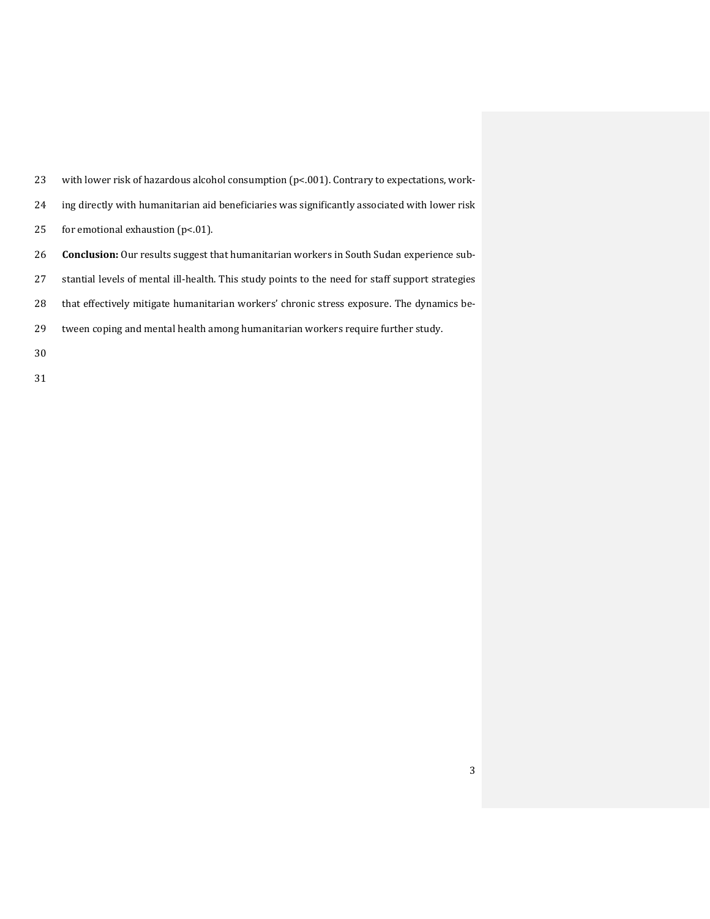| 23 | with lower risk of hazardous alcohol consumption $(p< 001)$ . Contrary to expectations, work-    |
|----|--------------------------------------------------------------------------------------------------|
| 24 | ing directly with humanitarian aid beneficiaries was significantly associated with lower risk    |
| 25 | for emotional exhaustion $(p<.01)$ .                                                             |
| 26 | <b>Conclusion:</b> Our results suggest that humanitarian workers in South Sudan experience sub-  |
| 27 | stantial levels of mental ill-health. This study points to the need for staff support strategies |
| 28 | that effectively mitigate humanitarian workers' chronic stress exposure. The dynamics be-        |
| 29 | tween coping and mental health among humanitarian workers require further study.                 |
| 30 |                                                                                                  |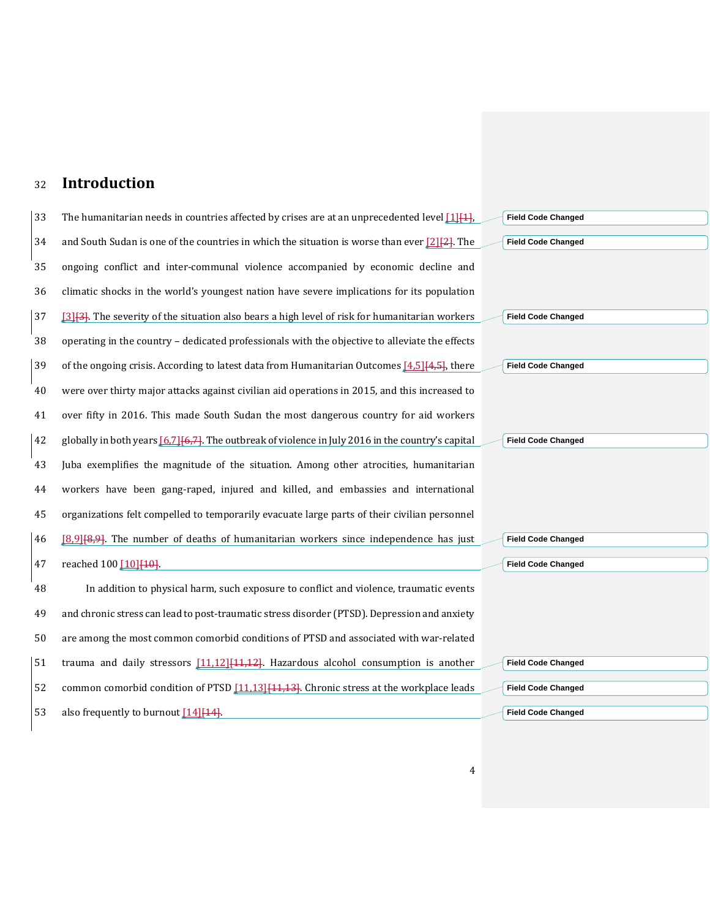## <sup>32</sup> **Introduction**

| 33 | The humanitarian needs in countries affected by crises are at an unprecedented level $[1]$              | <b>Field Code Changed</b> |
|----|---------------------------------------------------------------------------------------------------------|---------------------------|
| 34 | and South Sudan is one of the countries in which the situation is worse than ever $[2]$                 | <b>Field Code Changed</b> |
| 35 | ongoing conflict and inter-communal violence accompanied by economic decline and                        |                           |
| 36 | climatic shocks in the world's youngest nation have severe implications for its population              |                           |
| 37 | [3] [3]. The severity of the situation also bears a high level of risk for humanitarian workers         | <b>Field Code Changed</b> |
| 38 | operating in the country - dedicated professionals with the objective to alleviate the effects          |                           |
| 39 | of the ongoing crisis. According to latest data from Humanitarian Outcomes $[4.5]$ $[4.5]$ , there      | <b>Field Code Changed</b> |
| 40 | were over thirty major attacks against civilian aid operations in 2015, and this increased to           |                           |
| 41 | over fifty in 2016. This made South Sudan the most dangerous country for aid workers                    |                           |
| 42 | globally in both years $[6,7]$ $[6,7]$ . The outbreak of violence in July 2016 in the country's capital | <b>Field Code Changed</b> |
| 43 | Juba exemplifies the magnitude of the situation. Among other atrocities, humanitarian                   |                           |
| 44 | workers have been gang-raped, injured and killed, and embassies and international                       |                           |
| 45 | organizations felt compelled to temporarily evacuate large parts of their civilian personnel            |                           |
| 46 | [8,9][8,9]. The number of deaths of humanitarian workers since independence has just                    | <b>Field Code Changed</b> |
| 47 | reached 100 [10] [10].                                                                                  | <b>Field Code Changed</b> |
| 48 | In addition to physical harm, such exposure to conflict and violence, traumatic events                  |                           |
| 49 | and chronic stress can lead to post-traumatic stress disorder (PTSD). Depression and anxiety            |                           |
| 50 | are among the most common comorbid conditions of PTSD and associated with war-related                   |                           |
| 51 | trauma and daily stressors $[11,12]$ $[11,12]$ . Hazardous alcohol consumption is another               | <b>Field Code Changed</b> |
| 52 | common comorbid condition of PTSD [11.13] [14.43]. Chronic stress at the workplace leads                | <b>Field Code Changed</b> |
|    |                                                                                                         |                           |
| 53 | also frequently to burnout [14] [14].                                                                   | <b>Field Code Changed</b> |
|    |                                                                                                         |                           |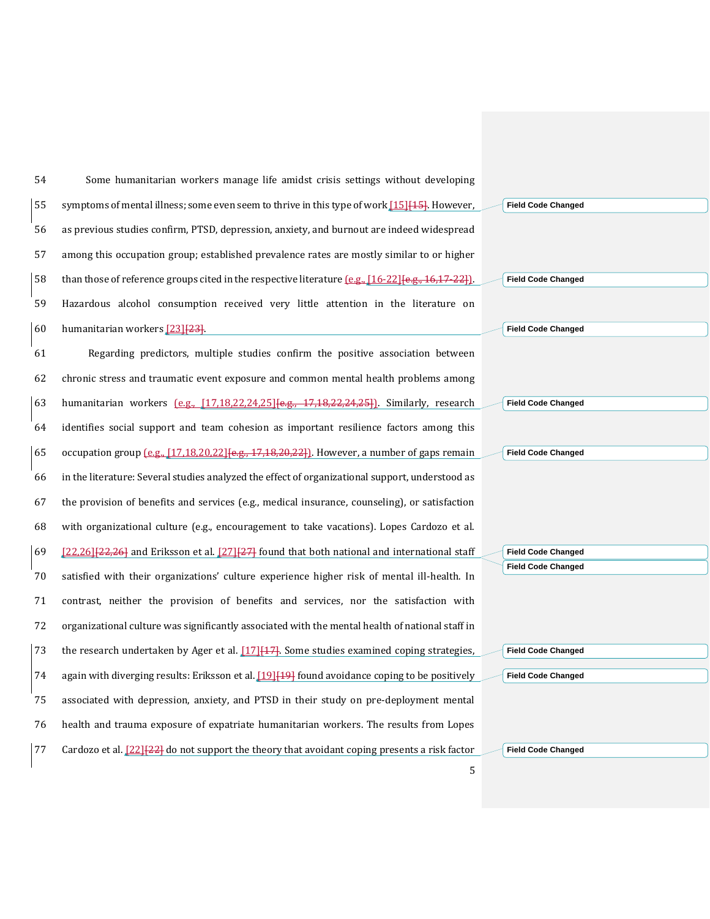Some humanitarian workers manage life amidst crisis settings without developing 55 symptoms of mental illness; some even seem to thrive in this type of work [\[15\]](#page-29-14) [15]. However, as previous studies confirm, PTSD, depression, anxiety, and burnout are indeed widespread among this occupation group; established prevalence rates are mostly similar to or higher 58 than those of reference groups cited in the respective literature  $(e.g., [16-22]\{e.g., 16,17-22\}].$  $(e.g., [16-22]\{e.g., 16,17-22\}].$  $(e.g., [16-22]\{e.g., 16,17-22\}].$  Hazardous alcohol consumption received very little attention in the literature on humanitarian workers [\[23\]](#page-30-0)[23]. Regarding predictors, multiple studies confirm the positive association between chronic stress and traumatic event exposure and common mental health problems among humanitarian workers (e.g., [\[17](#page-29-16)[,18](#page-29-17)[,22,](#page-30-1)[24,](#page-30-2)[25\]](#page-30-3)[e.g., 17,18,22,24,25]). Similarly, research identifies social support and team cohesion as important resilience factors among this 65 occupation group  $[\text{e.g., } [17,18,20,22]$  $[\text{e.g., } [17,18,20,22]$  $[\text{e.g., } [17,18,20,22]$  $[\text{e.g., } [17,18,20,22]$  $[\text{e.g., } [17,18,20,22]$   $[\text{e.g., } 17,18,20,22]$ . However, a number of gaps remain in the literature: Several studies analyzed the effect of organizational support, understood as the provision of benefits and services (e.g., medical insurance, counseling), or satisfaction with organizational culture (e.g., encouragement to take vacations). Lopes Cardozo et al.  $[22,26]$  $[22,26]$ [22,26] and Eriksson et al.  $[27]$ [27] found that both national and international staff satisfied with their organizations' culture experience higher risk of mental ill-health. In contrast, neither the provision of benefits and services, nor the satisfaction with organizational culture was significantly associated with the mental health of national staff in 73 the research undertaken by Ager et al.  $[17]$ [17]. Some studies examined coping strategies, 74 again with diverging results: Eriksson et al.  $\left[19\right]\left[19\right]$  found avoidance coping to be positively associated with depression, anxiety, and PTSD in their study on pre-deployment mental health and trauma exposure of expatriate humanitarian workers. The results from Lopes 77 Cardozo et al.  $[22][22]$  $[22][22]$  do not support the theory that avoidant coping presents a risk factor

**Field Code Changed Field Code Changed Field Code Changed Field Code Changed Field Code Changed Field Code Changed Field Code Changed**

| <b>Field Code Changed</b> |
|---------------------------|
|                           |
| <b>Field Code Changed</b> |

**Field Code Changed**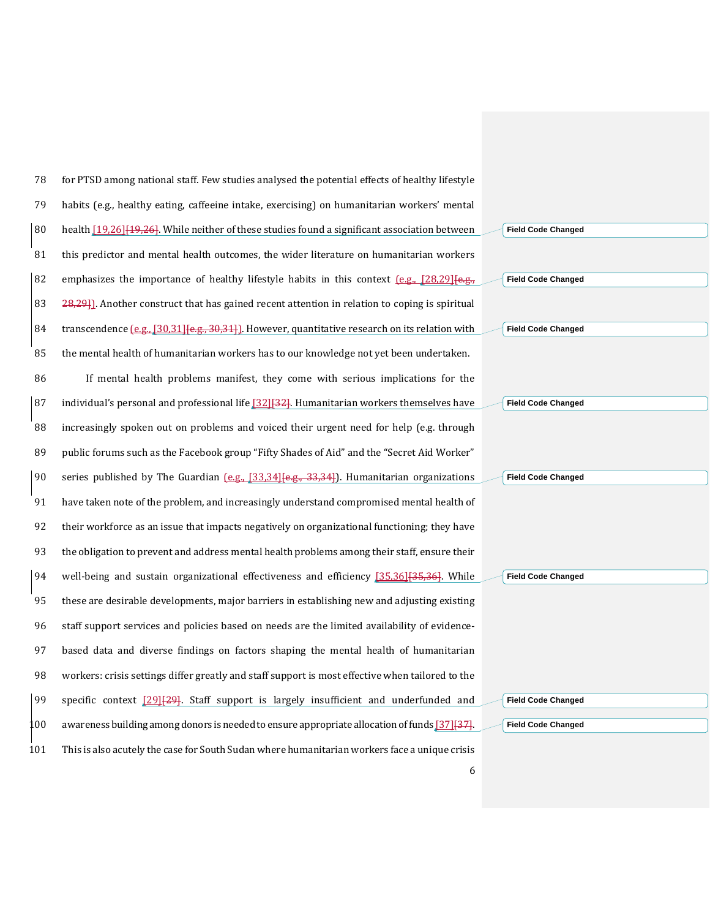| 78  | for PTSD among national staff. Few studies analysed the potential effects of healthy lifestyle        |                           |
|-----|-------------------------------------------------------------------------------------------------------|---------------------------|
| 79  | habits (e.g., healthy eating, caffeeine intake, exercising) on humanitarian workers' mental           |                           |
| 80  | health [19,26] [19,26]. While neither of these studies found a significant association between        | <b>Field Code Changed</b> |
| 81  | this predictor and mental health outcomes, the wider literature on humanitarian workers               |                           |
| 82  | emphasizes the importance of healthy lifestyle habits in this context $[0.9, 128, 29]$                | <b>Field Code Changed</b> |
| 83  | 28,29]. Another construct that has gained recent attention in relation to coping is spiritual         |                           |
| 84  | transcendence $[0.8, 0.50, 31]$ $[0.4, 30, 31]$ . However, quantitative research on its relation with | <b>Field Code Changed</b> |
| 85  | the mental health of humanitarian workers has to our knowledge not yet been undertaken.               |                           |
| 86  | If mental health problems manifest, they come with serious implications for the                       |                           |
| 87  | individual's personal and professional life [32] [32]. Humanitarian workers themselves have           | <b>Field Code Changed</b> |
| 88  | increasingly spoken out on problems and voiced their urgent need for help (e.g. through               |                           |
| 89  | public forums such as the Facebook group "Fifty Shades of Aid" and the "Secret Aid Worker"            |                           |
| 90  | series published by The Guardian $[0.9, 0.1]$ $[33.34]$ $[0.9, 3.3.34]$ . Humanitarian organizations  | <b>Field Code Changed</b> |
| 91  | have taken note of the problem, and increasingly understand compromised mental health of              |                           |
| 92  | their workforce as an issue that impacts negatively on organizational functioning; they have          |                           |
| 93  | the obligation to prevent and address mental health problems among their staff, ensure their          |                           |
| 94  | well-being and sustain organizational effectiveness and efficiency [35,36] [35,36]. While             | <b>Field Code Changed</b> |
| 95  | these are desirable developments, major barriers in establishing new and adjusting existing           |                           |
| 96  | staff support services and policies based on needs are the limited availability of evidence-          |                           |
| 97  | based data and diverse findings on factors shaping the mental health of humanitarian                  |                           |
| 98  | workers: crisis settings differ greatly and staff support is most effective when tailored to the      |                           |
| 99  | specific context [29] <sup>[29]</sup> . Staff support is largely insufficient and underfunded and     | <b>Field Code Changed</b> |
| .00 | awareness building among donors is needed to ensure appropriate allocation of funds [37] [37].        | <b>Field Code Changed</b> |
|     |                                                                                                       |                           |
| 101 | This is also acutely the case for South Sudan where humanitarian workers face a unique crisis         |                           |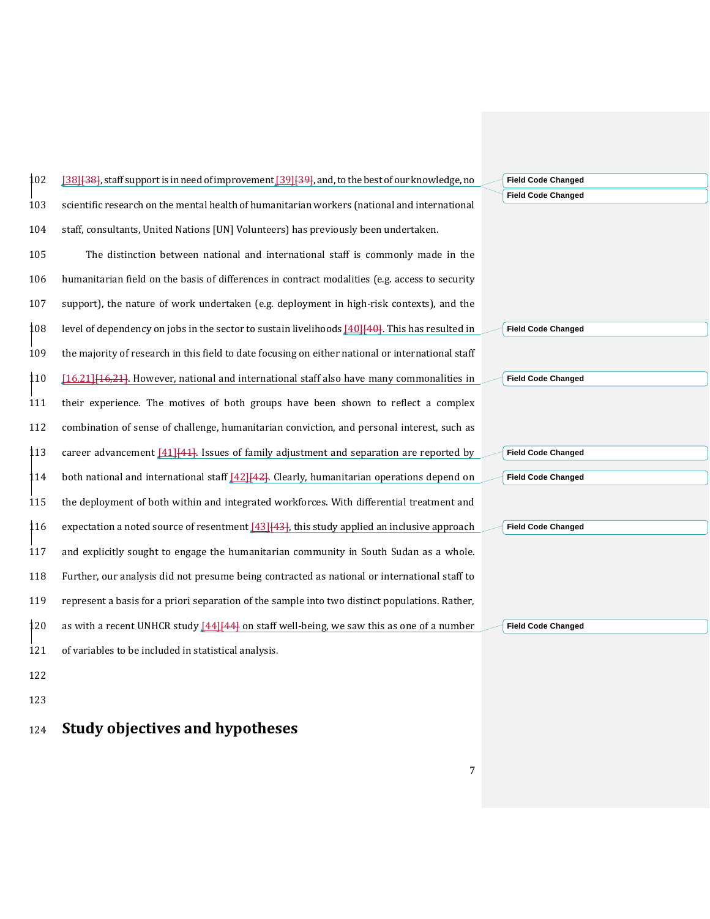| 102       | [38] [38], staff support is in need of improvement [39] [39], and, to the best of our knowledge, no                 | <b>Field Code Changed</b> |  |
|-----------|---------------------------------------------------------------------------------------------------------------------|---------------------------|--|
| 103       | scientific research on the mental health of humanitarian workers (national and international                        | <b>Field Code Changed</b> |  |
| 104       | staff, consultants, United Nations [UN] Volunteers) has previously been undertaken.                                 |                           |  |
| 105       | The distinction between national and international staff is commonly made in the                                    |                           |  |
| 106       | humanitarian field on the basis of differences in contract modalities (e.g. access to security                      |                           |  |
| 107       | support), the nature of work undertaken (e.g. deployment in high-risk contexts), and the                            |                           |  |
| 108       | level of dependency on jobs in the sector to sustain livelihoods [40][40]. This has resulted in                     | <b>Field Code Changed</b> |  |
| 109       | the majority of research in this field to date focusing on either national or international staff                   |                           |  |
| 110       | [16.21] [46,21]. However, national and international staff also have many commonalities in                          | <b>Field Code Changed</b> |  |
| 111       | their experience. The motives of both groups have been shown to reflect a complex                                   |                           |  |
| 112       | combination of sense of challenge, humanitarian conviction, and personal interest, such as                          |                           |  |
| 113       | career advancement $[41]$ <sup><math>[41]</math></sup> . Issues of family adjustment and separation are reported by | <b>Field Code Changed</b> |  |
| <b>14</b> | both national and international staff $[42]$ $[42]$ . Clearly, humanitarian operations depend on                    | <b>Field Code Changed</b> |  |
| 115       | the deployment of both within and integrated workforces. With differential treatment and                            |                           |  |
| 116       | expectation a noted source of resentment [43] [43], this study applied an inclusive approach                        | <b>Field Code Changed</b> |  |
| 117       | and explicitly sought to engage the humanitarian community in South Sudan as a whole.                               |                           |  |
| 118       | Further, our analysis did not presume being contracted as national or international staff to                        |                           |  |
| 119       | represent a basis for a priori separation of the sample into two distinct populations. Rather,                      |                           |  |
| 120       | as with a recent UNHCR study [44][44] on staff well-being, we saw this as one of a number                           | <b>Field Code Changed</b> |  |
| 121       | of variables to be included in statistical analysis.                                                                |                           |  |
| 122       |                                                                                                                     |                           |  |
|           |                                                                                                                     |                           |  |

123

# <sup>124</sup> **Study objectives and hypotheses**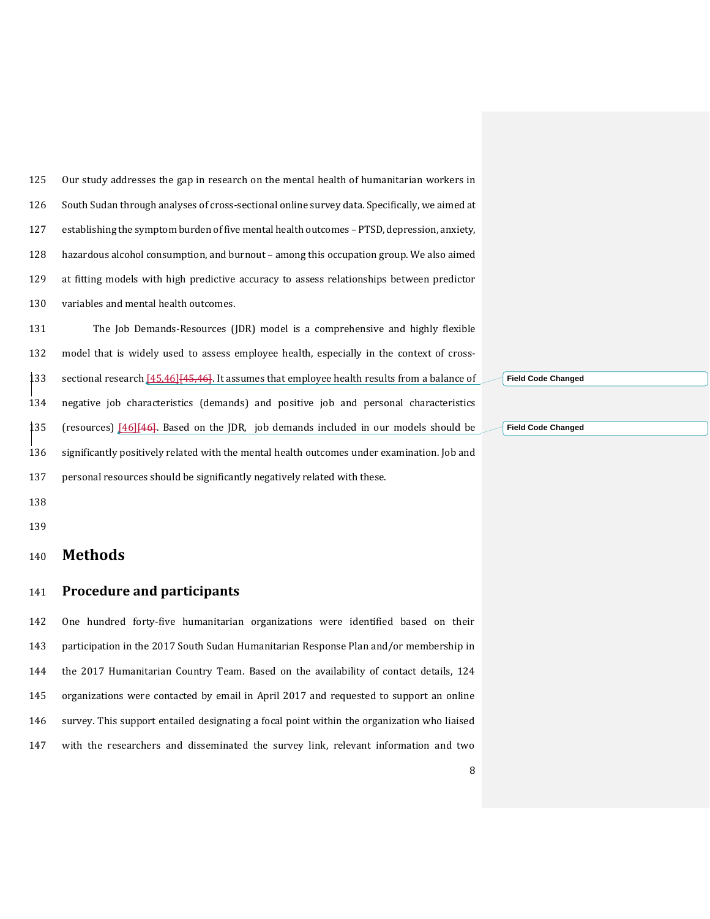| 125 | Our study addresses the gap in research on the mental health of humanitarian workers in       |
|-----|-----------------------------------------------------------------------------------------------|
| 126 | South Sudan through analyses of cross-sectional online survey data. Specifically, we aimed at |
| 127 | establishing the symptom burden of five mental health outcomes – PTSD, depression, anxiety,   |
| 128 | hazardous alcohol consumption, and burnout – among this occupation group. We also aimed       |
| 129 | at fitting models with high predictive accuracy to assess relationships between predictor     |
| 130 | variables and mental health outcomes.                                                         |

 The Job Demands-Resources (JDR) model is a comprehensive and highly flexible model that is widely used to assess employee health, especially in the context of cross-133 sectional research [\[45](#page-31-8)[,46\]](#page-31-9)[45,46]. It assumes that employee health results from a balance of negative job characteristics (demands) and positive job and personal characteristics (resources) [\[46\]](#page-31-9)[46]. Based on the JDR, job demands included in our models should be significantly positively related with the mental health outcomes under examination. Job and personal resources should be significantly negatively related with these.

**Field Code Changed**

**Field Code Changed**

 

#### **Methods**

#### **Procedure and participants**

 One hundred forty-five humanitarian organizations were identified based on their participation in the 2017 South Sudan Humanitarian Response Plan and/or membership in the 2017 Humanitarian Country Team. Based on the availability of contact details, 124 organizations were contacted by email in April 2017 and requested to support an online survey. This support entailed designating a focal point within the organization who liaised with the researchers and disseminated the survey link, relevant information and two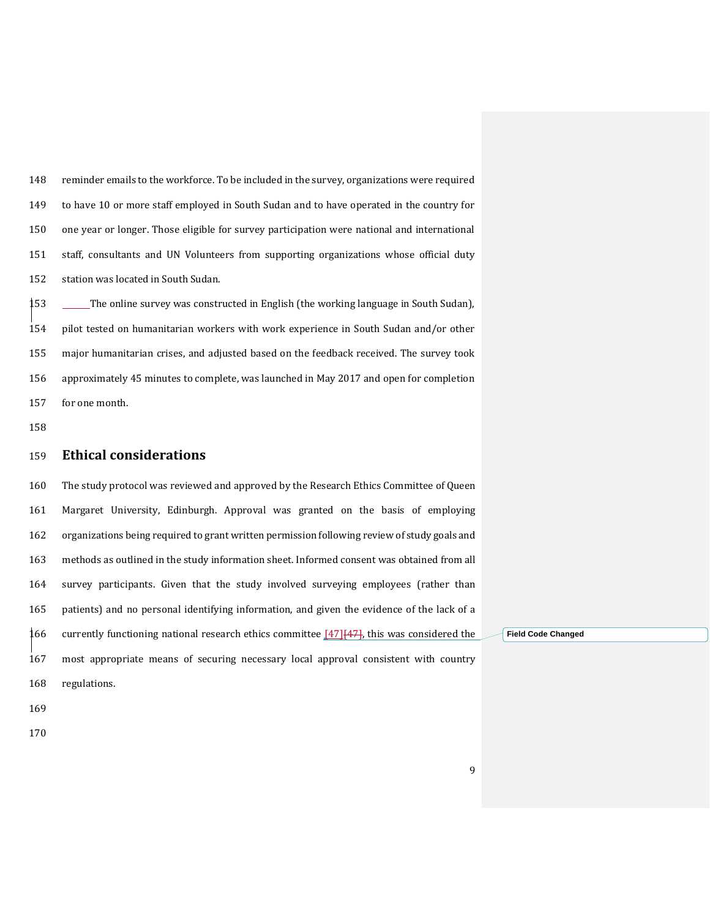reminder emails to the workforce. To be included in the survey, organizations were required to have 10 or more staff employed in South Sudan and to have operated in the country for one year or longer. Those eligible for survey participation were national and international staff, consultants and UN Volunteers from supporting organizations whose official duty station was located in South Sudan.

 The online survey was constructed in English (the working language in South Sudan), pilot tested on humanitarian workers with work experience in South Sudan and/or other major humanitarian crises, and adjusted based on the feedback received. The survey took approximately 45 minutes to complete, was launched in May 2017 and open for completion for one month.

#### **Ethical considerations**

 The study protocol was reviewed and approved by the Research Ethics Committee of Queen Margaret University, Edinburgh. Approval was granted on the basis of employing organizations being required to grant written permission following review of study goals and methods as outlined in the study information sheet. Informed consent was obtained from all survey participants. Given that the study involved surveying employees (rather than patients) and no personal identifying information, and given the evidence of the lack of a 166 currently functioning national research ethics committee  $[47]$  $[447]$ , this was considered the most appropriate means of securing necessary local approval consistent with country regulations.

**Field Code Changed**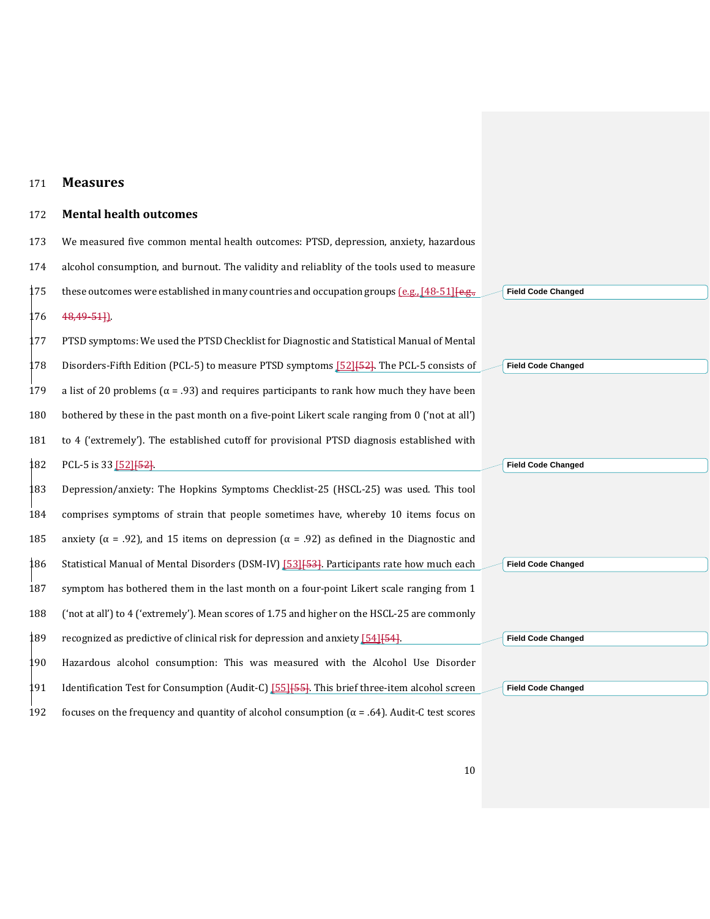#### 171 **Measures**

## 172 **Mental health outcomes**

| 173 | We measured five common mental health outcomes: PTSD, depression, anxiety, hazardous                     |                           |
|-----|----------------------------------------------------------------------------------------------------------|---------------------------|
| 174 | alcohol consumption, and burnout. The validity and reliablity of the tools used to measure               |                           |
| 175 | these outcomes were established in many countries and occupation groups $[0.8, 1.48, 5.1]$               | <b>Field Code Changed</b> |
| L76 | 48,49-51].                                                                                               |                           |
| 177 | PTSD symptoms: We used the PTSD Checklist for Diagnostic and Statistical Manual of Mental                |                           |
| L78 | Disorders-Fifth Edition (PCL-5) to measure PTSD symptoms [52] [52]. The PCL-5 consists of                | <b>Field Code Changed</b> |
| 179 | a list of 20 problems ( $\alpha$ = .93) and requires participants to rank how much they have been        |                           |
| 180 | bothered by these in the past month on a five-point Likert scale ranging from 0 ('not at all')           |                           |
| 181 | to 4 ('extremely'). The established cutoff for provisional PTSD diagnosis established with               |                           |
| 182 | PCL-5 is 33 [52] [52].                                                                                   | <b>Field Code Changed</b> |
| 183 | Depression/anxiety: The Hopkins Symptoms Checklist-25 (HSCL-25) was used. This tool                      |                           |
| 184 | comprises symptoms of strain that people sometimes have, whereby 10 items focus on                       |                           |
| 185 | anxiety ( $\alpha$ = .92), and 15 items on depression ( $\alpha$ = .92) as defined in the Diagnostic and |                           |
| 186 | Statistical Manual of Mental Disorders (DSM-IV) [53] [53]. Participants rate how much each               | <b>Field Code Changed</b> |
| 187 | symptom has bothered them in the last month on a four-point Likert scale ranging from 1                  |                           |
| 188 | ('not at all') to 4 ('extremely'). Mean scores of 1.75 and higher on the HSCL-25 are commonly            |                           |
| 189 | recognized as predictive of clinical risk for depression and anxiety [54] [54].                          | <b>Field Code Changed</b> |
| 190 | Hazardous alcohol consumption: This was measured with the Alcohol Use Disorder                           |                           |
| 191 | Identification Test for Consumption (Audit-C) [55] [55]. This brief three-item alcohol screen            | <b>Field Code Changed</b> |
| 192 | focuses on the frequency and quantity of alcohol consumption ( $\alpha$ = .64). Audit-C test scores      |                           |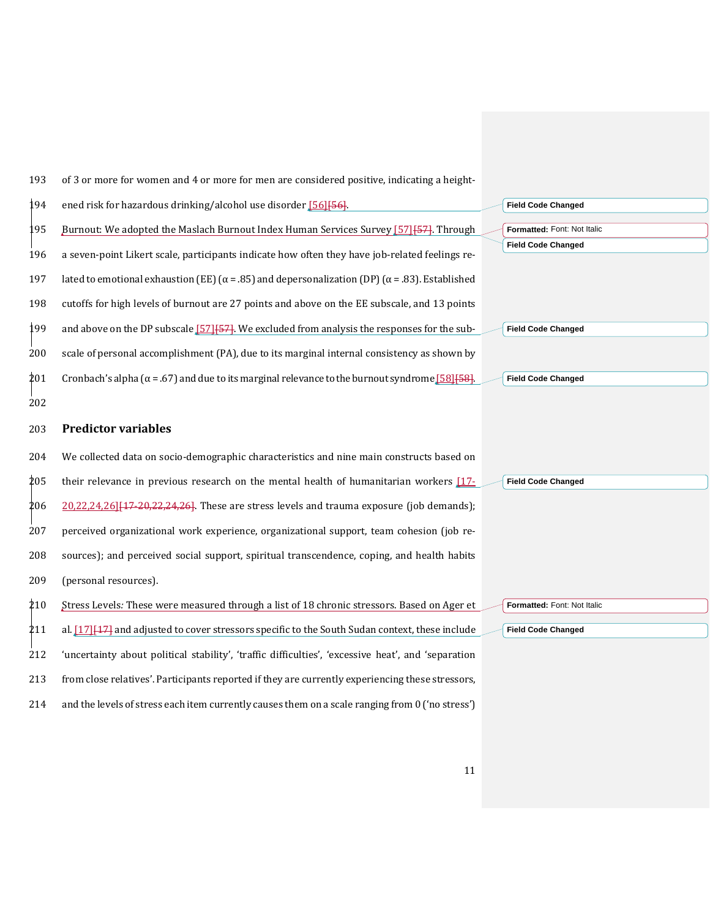193 of 3 or more for women and 4 or more for men are considered positive, indicating a height-

194 ened risk for hazardous drinking/alcohol use disorder [\[56\]](#page-32-1)[56]. 195 Burnout: We adopted the Maslach Burnout Index Human Services Survey [\[57\]](#page-32-2) [57]. Through 196 a seven-point Likert scale, participants indicate how often they have job-related feelings re-197 lated to emotional exhaustion (EE) ( $\alpha$  = .85) and depersonalization (DP) ( $\alpha$  = .83). Established 198 cutoffs for high levels of burnout are 27 points and above on the EE subscale, and 13 points 199 and above on the DP subscale [\[57\]](#page-32-2) [57]. We excluded from analysis the responses for the sub-200 scale of personal accomplishment (PA), due to its marginal internal consistency as shown by 201 Cronbach's alpha ( $\alpha$  = .67) and due to its marginal relevance to the burnout syndrome [\[58\]](#page-32-3)[58]. 202

#### 203 **Predictor variables**

 We collected data on socio-demographic characteristics and nine main constructs based on their relevance in previous research on the mental health of humanitarian workers [\[17-](#page-29-16)  $206 \quad 20,22,24,26$  $206 \quad 20,22,24,26$  $206 \quad 20,22,24,26$  $206 \quad 20,22,24,26$  [47-20, 22, 24, [26\]](#page-30-5). These are stress levels and trauma exposure (job demands); perceived organizational work experience, organizational support, team cohesion (job re- sources); and perceived social support, spiritual transcendence, coping, and health habits (personal resources).

 Stress Levels*:* These were measured through a list of 18 chronic stressors. Based on Ager et 211 al. [\[17\]](#page-29-16) [17] and adjusted to cover stressors specific to the South Sudan context, these include 'uncertainty about political stability', 'traffic difficulties', 'excessive heat', and 'separation from close relatives'. Participants reported if they are currently experiencing these stressors, and the levels of stress each item currently causes them on a scale ranging from 0 ('no stress')

**Field Code Changed Formatted:** Font: Not Italic **Field Code Changed**

**Field Code Changed**

**Field Code Changed**

**Field Code Changed**

**Formatted:** Font: Not Italic

**Field Code Changed**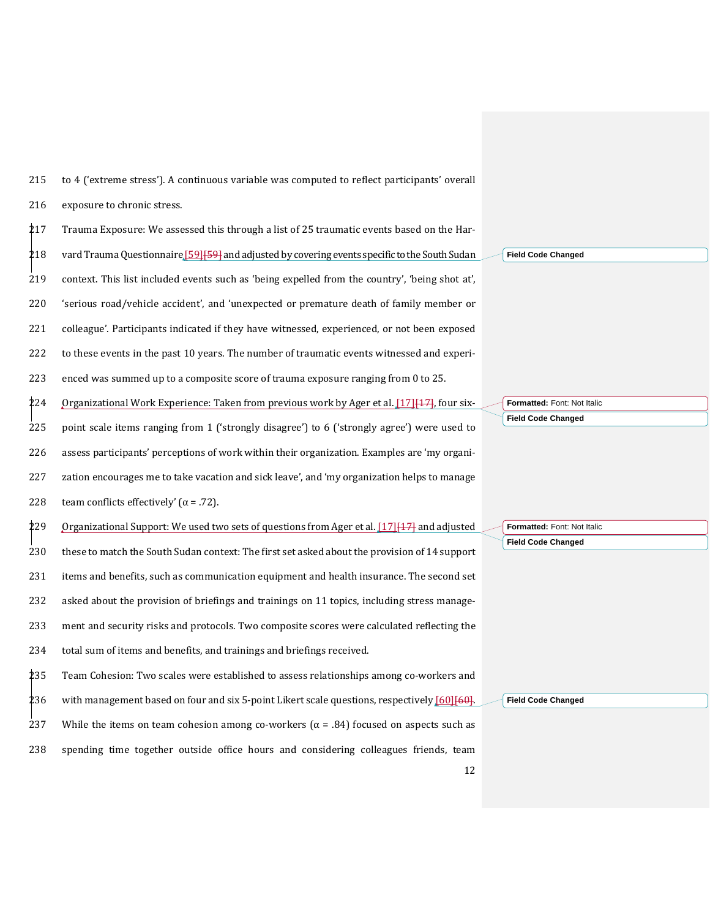215 to 4 ('extreme stress'). A continuous variable was computed to reflect participants' overall 216 exposure to chronic stress.

 $\frac{1}{2}$ 17 Trauma Exposure: We assessed this through a list of 25 traumatic events based on the Har-218 vard Trauma Questionnaire [\[59\]](#page-32-4) [59] and adjusted by covering events specific to the South Sudan context. This list included events such as 'being expelled from the country', 'being shot at', 'serious road/vehicle accident', and 'unexpected or premature death of family member or colleague'. Participants indicated if they have witnessed, experienced, or not been exposed to these events in the past 10 years. The number of traumatic events witnessed and experi-enced was summed up to a composite score of trauma exposure ranging from 0 to 25.

224 Organizational Work Experience: Taken from previous work by Ager et al.  $[17][17]$  $[17][17]$ , four six-

 point scale items ranging from 1 ('strongly disagree') to 6 ('strongly agree') were used to assess participants' perceptions of work within their organization. Examples are 'my organi- zation encourages me to take vacation and sick leave', and 'my organization helps to manage 228 team conflicts effectively'  $(\alpha = .72)$ .

229 Organizational Support: We used two sets of questions from Ager et al. [\[17\]](#page-29-16) [17] and adjusted these to match the South Sudan context: The first set asked about the provision of 14 support items and benefits, such as communication equipment and health insurance. The second set asked about the provision of briefings and trainings on 11 topics, including stress manage- ment and security risks and protocols. Two composite scores were calculated reflecting the total sum of items and benefits, and trainings and briefings received.

235 Team Cohesion: Two scales were established to assess relationships among co-workers and 236 with management based on four and six 5-point Likert scale questions, respectively [\[60\]](#page-32-5)[60]. 237 While the items on team cohesion among co-workers ( $\alpha$  = .84) focused on aspects such as 238 spending time together outside office hours and considering colleagues friends, team

**Field Code Changed**

**Formatted:** Font: Not Italic **Field Code Changed**

**Formatted:** Font: Not Italic **Field Code Changed**

**Field Code Changed**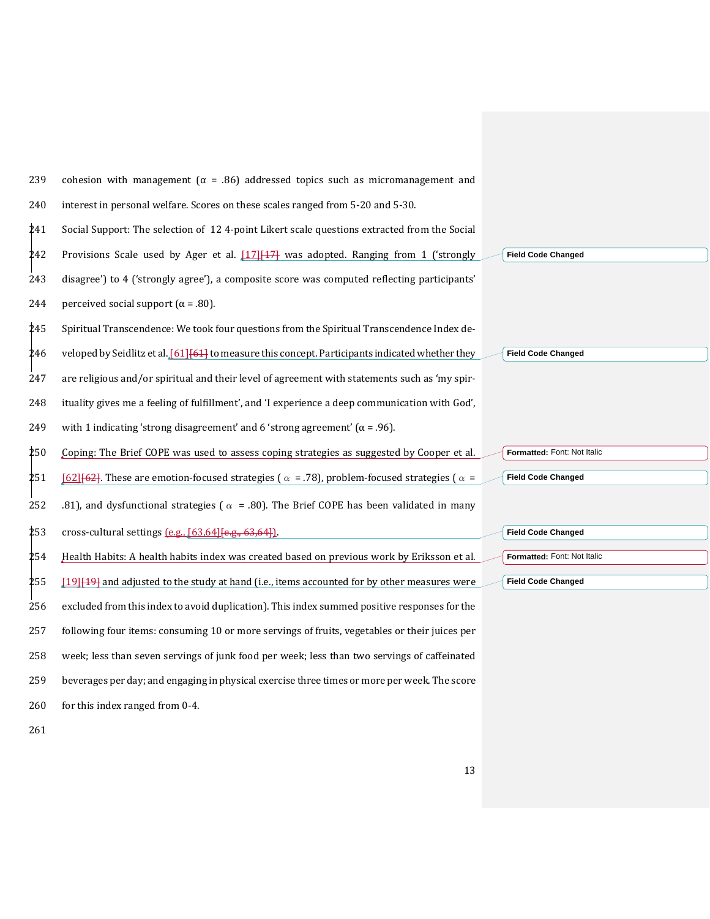| 239 | cohesion with management ( $\alpha$ = .86) addressed topics such as micromanagement and                   |                             |
|-----|-----------------------------------------------------------------------------------------------------------|-----------------------------|
| 240 | interest in personal welfare. Scores on these scales ranged from 5-20 and 5-30.                           |                             |
| 241 | Social Support: The selection of 124-point Likert scale questions extracted from the Social               |                             |
| 242 | Provisions Scale used by Ager et al. [17] [47] was adopted. Ranging from 1 ('strongly                     | <b>Field Code Changed</b>   |
| 243 | disagree') to 4 ('strongly agree'), a composite score was computed reflecting participants'               |                             |
| 244 | perceived social support ( $\alpha$ = .80).                                                               |                             |
| 245 | Spiritual Transcendence: We took four questions from the Spiritual Transcendence Index de-                |                             |
| 246 | veloped by Seidlitz et al. [61] [64] to measure this concept. Participants indicated whether they         | <b>Field Code Changed</b>   |
| 247 | are religious and/or spiritual and their level of agreement with statements such as 'my spir-             |                             |
| 248 | ituality gives me a feeling of fulfillment', and 'I experience a deep communication with God',            |                             |
| 249 | with 1 indicating 'strong disagreement' and 6 'strong agreement' ( $\alpha$ = .96).                       |                             |
| 250 | Coping: The Brief COPE was used to assess coping strategies as suggested by Cooper et al.                 | Formatted: Font: Not Italic |
| 251 | [62][62]. These are emotion-focused strategies ( $\alpha$ = .78), problem-focused strategies ( $\alpha$ = | <b>Field Code Changed</b>   |
| 252 | .81), and dysfunctional strategies ( $\alpha$ = .80). The Brief COPE has been validated in many           |                             |
| 253 | cross-cultural settings (e.g., [63,64] [e.g., 63,64]].                                                    | <b>Field Code Changed</b>   |
| 254 | Health Habits: A health habits index was created based on previous work by Eriksson et al.                | Formatted: Font: Not Italic |
| 255 | [19] <sup>[19]</sup> and adjusted to the study at hand (i.e., items accounted for by other measures were  | <b>Field Code Changed</b>   |
| 256 | excluded from this index to avoid duplication). This index summed positive responses for the              |                             |
| 257 | following four items: consuming 10 or more servings of fruits, vegetables or their juices per             |                             |
| 258 | week; less than seven servings of junk food per week; less than two servings of caffeinated               |                             |
| 259 | beverages per day; and engaging in physical exercise three times or more per week. The score              |                             |
| 260 | for this index ranged from 0-4.                                                                           |                             |
| 261 |                                                                                                           |                             |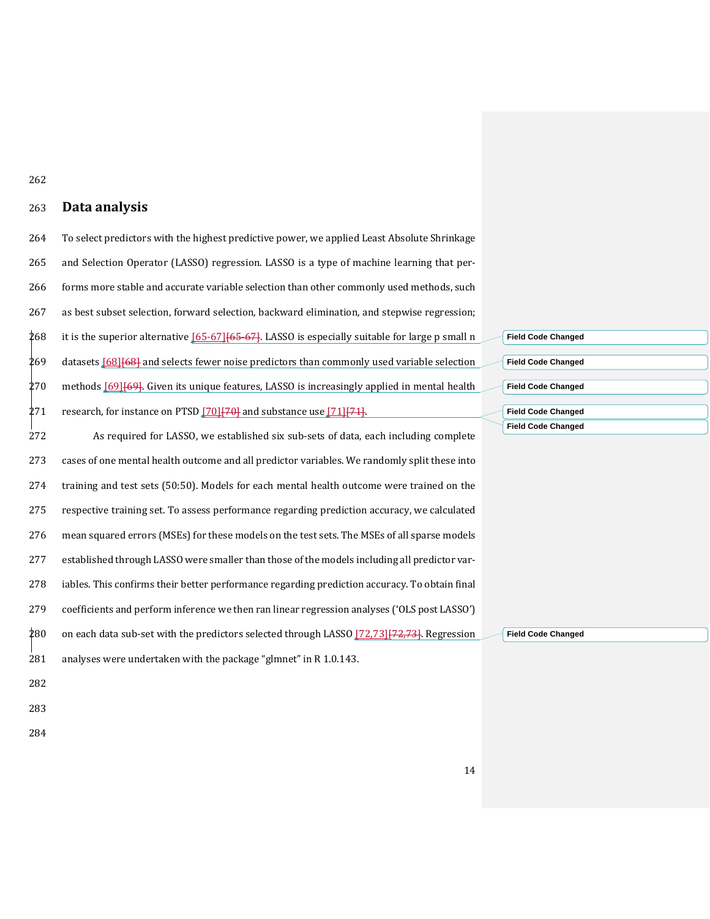#### **Data analysis**

 To select predictors with the highest predictive power, we applied Least Absolute Shrinkage and Selection Operator (LASSO) regression. LASSO is a type of machine learning that per- forms more stable and accurate variable selection than other commonly used methods, such as best subset selection, forward selection, backward elimination, and stepwise regression; 268 it is the superior alternative  $[65-67]$  $[65-67]$ . LASSO is especially suitable for large p small n 269 datasets [\[68\]](#page-32-11) [68] and selects fewer noise predictors than commonly used variable selection methods  $[69]$  $[69]$ . Given its unique features, LASSO is increasingly applied in mental health 271 research, for instance on PTSD  $[70][70]$  $[70][70]$  and substance use  $[71][71]$  $[71][71]$ . As required for LASSO, we established six sub-sets of data, each including complete cases of one mental health outcome and all predictor variables. We randomly split these into training and test sets (50:50). Models for each mental health outcome were trained on the respective training set. To assess performance regarding prediction accuracy, we calculated mean squared errors (MSEs) for these models on the test sets. The MSEs of all sparse models established through LASSO were smaller than those of the models including all predictor var- iables. This confirms their better performance regarding prediction accuracy. To obtain final coefficients and perform inference we then ran linear regression analyses ('OLS post LASSO') 280 on each data sub-set with the predictors selected through LASSO [\[72](#page-33-0)[,73\]](#page-33-1) [72,73]. Regression analyses were undertaken with the package "glmnet" in R 1.0.143. **Field Code Changed**

- 
- 

| <b>Field Code Changed</b> |  |
|---------------------------|--|
|                           |  |
| <b>Field Code Changed</b> |  |
|                           |  |
| <b>Field Code Changed</b> |  |
|                           |  |
| <b>Field Code Changed</b> |  |
| <b>Field Code Changed</b> |  |
|                           |  |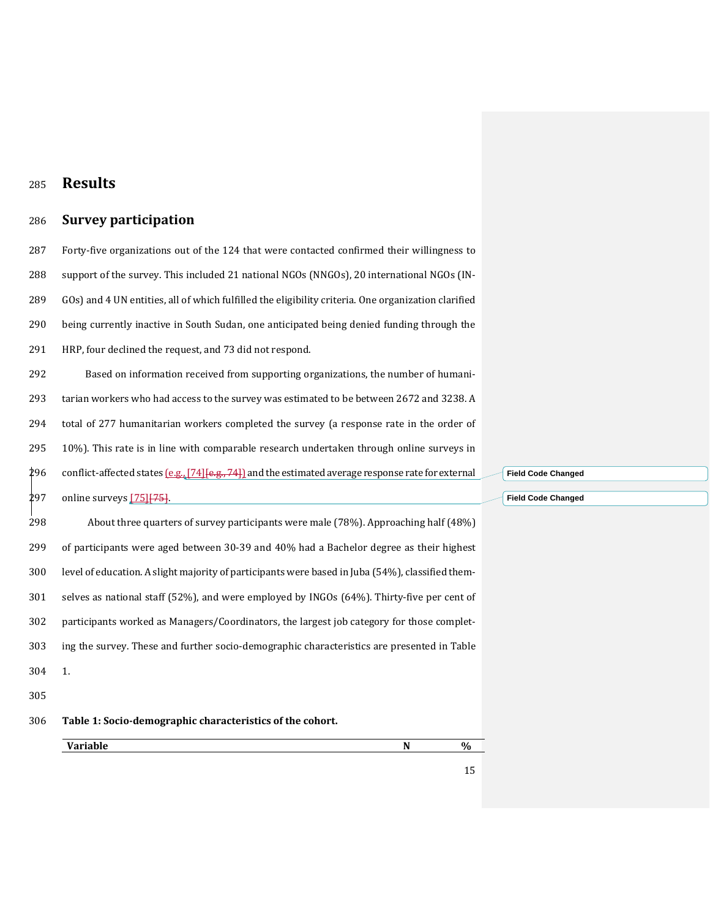## **Results**

## **Survey participation**

 Forty-five organizations out of the 124 that were contacted confirmed their willingness to support of the survey. This included 21 national NGOs (NNGOs), 20 international NGOs (IN- GOs) and 4 UN entities, all of which fulfilled the eligibility criteria. One organization clarified being currently inactive in South Sudan, one anticipated being denied funding through the HRP, four declined the request, and 73 did not respond.

292 Based on information received from supporting organizations, the number of humani- tarian workers who had access to the survey was estimated to be between 2672 and 3238. A total of 277 humanitarian workers completed the survey (a response rate in the order of 10%). This rate is in line with comparable research undertaken through online surveys in 296 conflict-affected states  $[e.g., [74]\{e.g., 74\}]$  $[e.g., [74]\{e.g., 74\}]$  $[e.g., [74]\{e.g., 74\}]$  and the estimated average response rate for external 297 online surveys [\[75\]](#page-33-3) [75].

298 About three quarters of survey participants were male (78%). Approaching half (48%) of participants were aged between 30-39 and 40% had a Bachelor degree as their highest level of education. A slight majority of participants were based in Juba (54%), classified them- selves as national staff (52%), and were employed by INGOs (64%). Thirty-five per cent of participants worked as Managers/Coordinators, the largest job category for those complet- ing the survey. These and further socio-demographic characteristics are presented in Table 1.

- 
- **Table 1: Socio-demographic characteristics of the cohort.**

**Variable N %**

**Field Code Changed**

**Field Code Changed**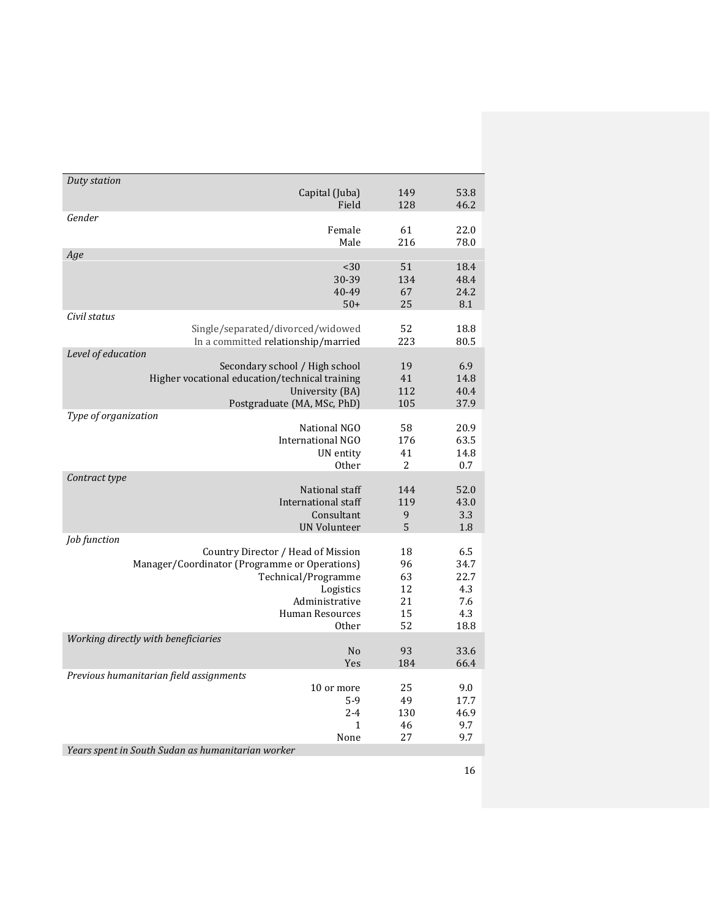| Duty station         |                                                   |     |      |
|----------------------|---------------------------------------------------|-----|------|
|                      | Capital (Juba)                                    | 149 | 53.8 |
|                      | Field                                             | 128 | 46.2 |
| Gender               |                                                   |     |      |
|                      | Female                                            | 61  | 22.0 |
|                      | Male                                              | 216 | 78.0 |
| Age                  |                                                   |     |      |
|                      | $30$                                              | 51  | 18.4 |
|                      | 30-39                                             | 134 | 48.4 |
|                      | 40-49                                             | 67  | 24.2 |
|                      | $50+$                                             | 25  | 8.1  |
| Civil status         |                                                   |     |      |
|                      | Single/separated/divorced/widowed                 | 52  | 18.8 |
|                      | In a committed relationship/married               | 223 | 80.5 |
| Level of education   |                                                   |     |      |
|                      | Secondary school / High school                    | 19  | 6.9  |
|                      | Higher vocational education/technical training    | 41  | 14.8 |
|                      |                                                   |     |      |
|                      | University (BA)                                   | 112 | 40.4 |
|                      | Postgraduate (MA, MSc, PhD)                       | 105 | 37.9 |
| Type of organization |                                                   |     |      |
|                      | National NGO                                      | 58  | 20.9 |
|                      | <b>International NGO</b>                          | 176 | 63.5 |
|                      | UN entity                                         | 41  | 14.8 |
|                      | <b>Other</b>                                      | 2   | 0.7  |
| Contract type        |                                                   |     |      |
|                      | National staff                                    | 144 | 52.0 |
|                      | International staff                               | 119 | 43.0 |
|                      | Consultant                                        | 9   | 3.3  |
|                      | <b>UN Volunteer</b>                               | 5   | 1.8  |
| Job function         |                                                   |     |      |
|                      | Country Director / Head of Mission                | 18  | 6.5  |
|                      | Manager/Coordinator (Programme or Operations)     | 96  | 34.7 |
|                      | Technical/Programme                               | 63  | 22.7 |
|                      | Logistics                                         | 12  | 4.3  |
|                      | Administrative                                    | 21  | 7.6  |
|                      | <b>Human Resources</b>                            | 15  | 4.3  |
|                      |                                                   | 52  |      |
|                      | <b>Other</b>                                      |     | 18.8 |
|                      | Working directly with beneficiaries               |     |      |
|                      | N <sub>o</sub>                                    | 93  | 33.6 |
|                      | Yes                                               | 184 | 66.4 |
|                      | Previous humanitarian field assignments           |     |      |
|                      | 10 or more                                        | 25  | 9.0  |
|                      | $5-9$                                             | 49  | 17.7 |
|                      | $2 - 4$                                           | 130 | 46.9 |
|                      | 1                                                 | 46  | 9.7  |
|                      | None                                              | 27  | 9.7  |
|                      | Vegrs spent in South Sudan as humanitarian worker |     |      |

*Years spent in South Sudan as humanitarian worker*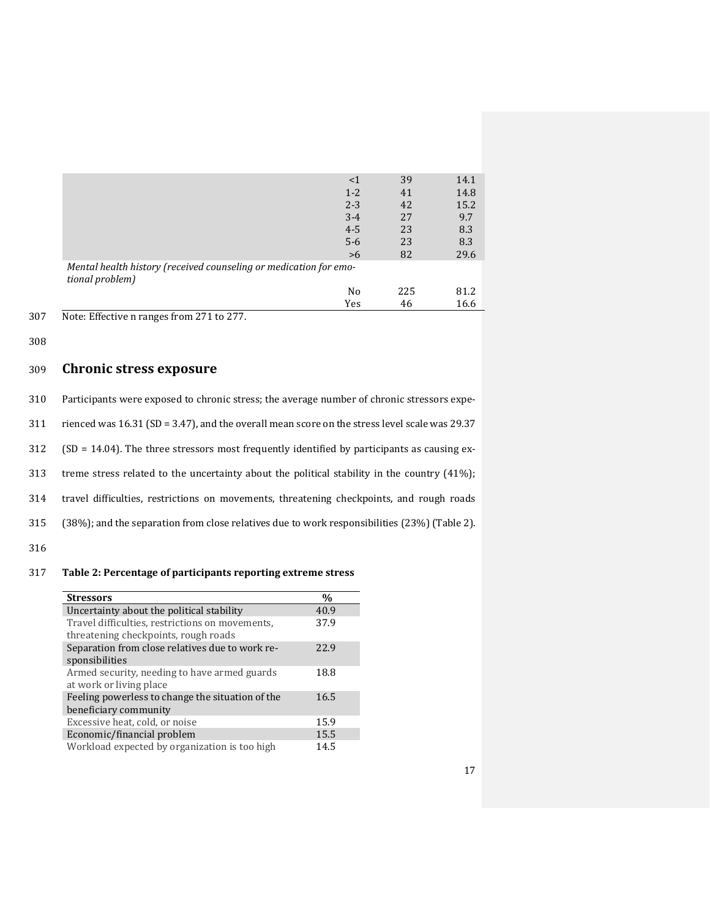|                                                                                      | $<$ 1   | 39  | 14.1 |
|--------------------------------------------------------------------------------------|---------|-----|------|
|                                                                                      | $1 - 2$ | 41  | 14.8 |
|                                                                                      | $2 - 3$ | 42  | 15.2 |
|                                                                                      | $3 - 4$ | 27  | 9.7  |
|                                                                                      | $4 - 5$ | 23  | 8.3  |
|                                                                                      | $5-6$   | 23  | 8.3  |
|                                                                                      | >6      | 82  | 29.6 |
| Mental health history (received counseling or medication for emo-<br>tional problem) |         |     |      |
|                                                                                      | No      | 225 | 81.2 |
|                                                                                      | Yes     | 46  | 16.6 |

307 Note: Effective n ranges from 271 to 277.

308

#### 309 **Chronic stress exposure**

| 310 | Participants were exposed to chronic stress; the average number of chronic stressors expe- |  |
|-----|--------------------------------------------------------------------------------------------|--|
|     |                                                                                            |  |

311 rienced was 16.31 (SD = 3.47), and the overall mean score on the stress level scale was 29.37

312 (SD = 14.04). The three stressors most frequently identified by participants as causing ex-

313 treme stress related to the uncertainty about the political stability in the country (41%);

314 travel difficulties, restrictions on movements, threatening checkpoints, and rough roads

315 (38%); and the separation from close relatives due to work responsibilities (23%) (Table 2).

316

#### 317 **Table 2: Percentage of participants reporting extreme stress**

| <b>Stressors</b>                                                                        | $\frac{0}{0}$ |
|-----------------------------------------------------------------------------------------|---------------|
| Uncertainty about the political stability                                               | 40.9          |
| Travel difficulties, restrictions on movements,<br>threatening checkpoints, rough roads | 37.9          |
| Separation from close relatives due to work re-<br>sponsibilities                       | 22.9          |
| Armed security, needing to have armed guards<br>at work or living place                 | 18.8          |
| Feeling powerless to change the situation of the<br>beneficiary community               | 16.5          |
| Excessive heat, cold, or noise                                                          | 15.9          |
| Economic/financial problem                                                              | 15.5          |
| Workload expected by organization is too high                                           | 14.5          |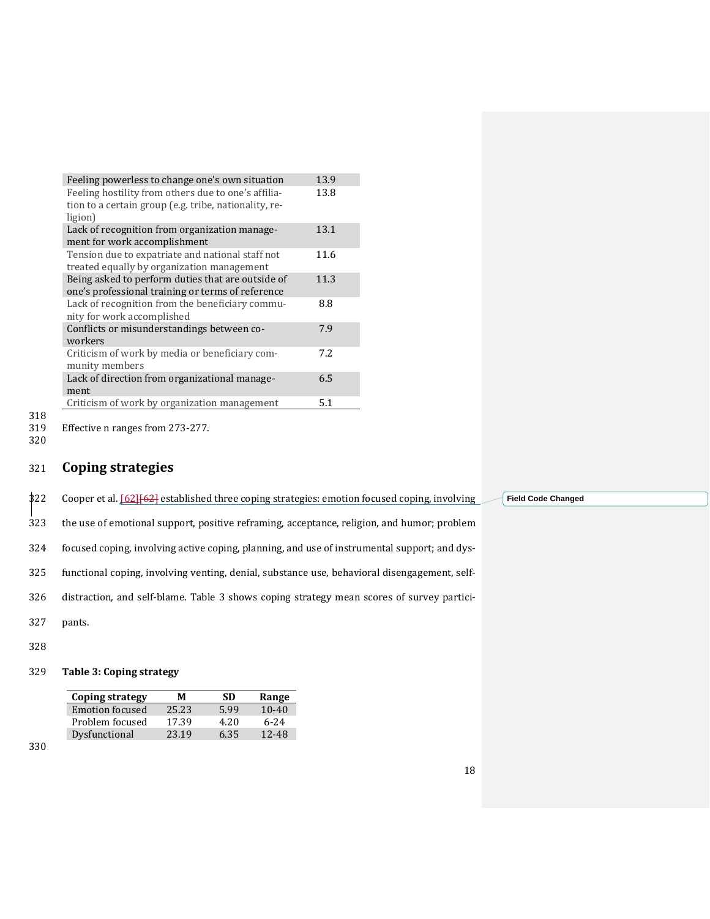| Feeling powerless to change one's own situation       | 13.9 |
|-------------------------------------------------------|------|
| Feeling hostility from others due to one's affilia-   | 13.8 |
| tion to a certain group (e.g. tribe, nationality, re- |      |
| ligion)                                               |      |
| Lack of recognition from organization manage-         | 13.1 |
| ment for work accomplishment                          |      |
| Tension due to expatriate and national staff not      | 11.6 |
| treated equally by organization management            |      |
| Being asked to perform duties that are outside of     | 11.3 |
| one's professional training or terms of reference     |      |
| Lack of recognition from the beneficiary commu-       | 8.8  |
| nity for work accomplished                            |      |
| Conflicts or misunderstandings between co-            | 7.9  |
| workers                                               |      |
| Criticism of work by media or beneficiary com-        | 7.2. |
| munity members                                        |      |
| Lack of direction from organizational manage-         | 6.5  |
| ment                                                  |      |
| Criticism of work by organization management          | 5.1  |
|                                                       |      |

318<br>319

Effective n ranges from 273-277.

320

## 321 **Coping strategies**

\$22 Cooper et al. [\[62\]](#page-32-7) [62] established three coping strategies: emotion focused coping, involving

323 the use of emotional support, positive reframing, acceptance, religion, and humor; problem

324 focused coping, involving active coping, planning, and use of instrumental support; and dys-

325 functional coping, involving venting, denial, substance use, behavioral disengagement, self-

326 distraction, and self-blame. Table 3 shows coping strategy mean scores of survey partici-

- 327 pants.
- 328

#### 329 **Table 3: Coping strategy**

| Coping strategy        | м     | -SD  | Range     |
|------------------------|-------|------|-----------|
| <b>Emotion focused</b> | 25.23 | 5.99 | $10 - 40$ |
| Problem focused        | 17.39 | 4.20 | $6 - 24$  |
| Dysfunctional          | 23.19 | 6.35 | 12-48     |

330

**Field Code Changed**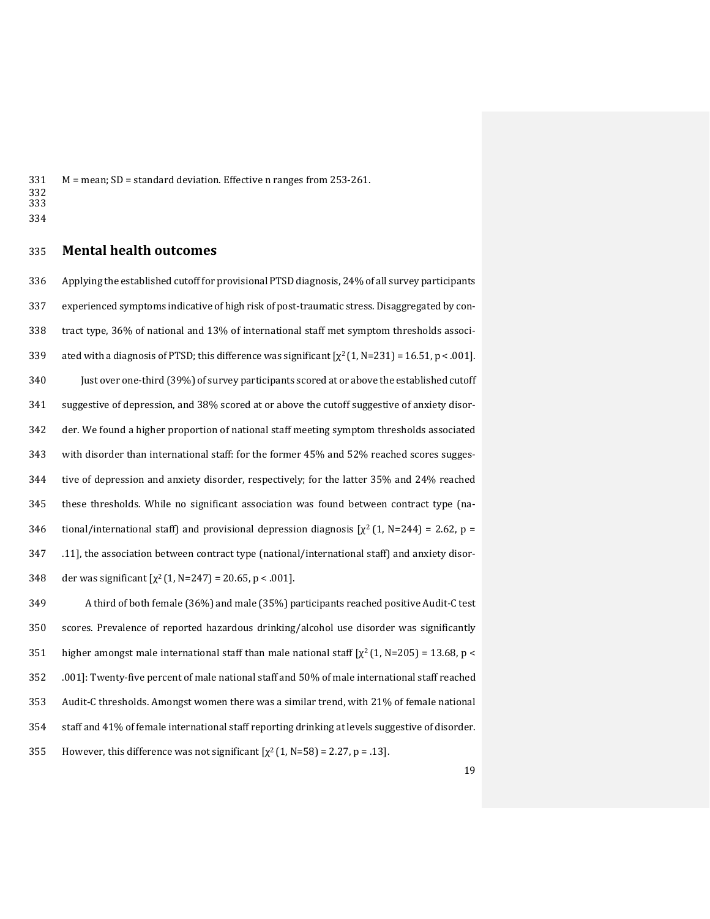M = mean; SD = standard deviation. Effective n ranges from 253-261.

- 
- 

#### **Mental health outcomes**

 Applying the established cutoff for provisional PTSD diagnosis, 24% of all survey participants experienced symptoms indicative of high risk of post-traumatic stress. Disaggregated by con- tract type, 36% of national and 13% of international staff met symptom thresholds associ-339 ated with a diagnosis of PTSD; this difference was significant  $[\chi^2 (1, N=231) = 16.51, p < .001]$ . 340 Just over one-third (39%) of survey participants scored at or above the established cutoff suggestive of depression, and 38% scored at or above the cutoff suggestive of anxiety disor- der. We found a higher proportion of national staff meeting symptom thresholds associated with disorder than international staff: for the former 45% and 52% reached scores sugges- tive of depression and anxiety disorder, respectively; for the latter 35% and 24% reached these thresholds. While no significant association was found between contract type (na-346 tional/international staff) and provisional depression diagnosis  $[\chi^2(1, N=244) = 2.62, p =$  .11], the association between contract type (national/international staff) and anxiety disor-348 der was significant  $[\chi^2(1, N=247) = 20.65, p < .001]$ .

349 A third of both female (36%) and male (35%) participants reached positive Audit-C test scores. Prevalence of reported hazardous drinking/alcohol use disorder was significantly 351 higher amongst male international staff than male national staff  $[\chi^2(1, N=205) = 13.68, p <$  .001]: Twenty-five percent of male national staff and 50% of male international staff reached Audit-C thresholds. Amongst women there was a similar trend, with 21% of female national staff and 41% of female international staff reporting drinking at levels suggestive of disorder. 355 However, this difference was not significant  $[\chi^2(1, N=58) = 2.27, p = .13]$ .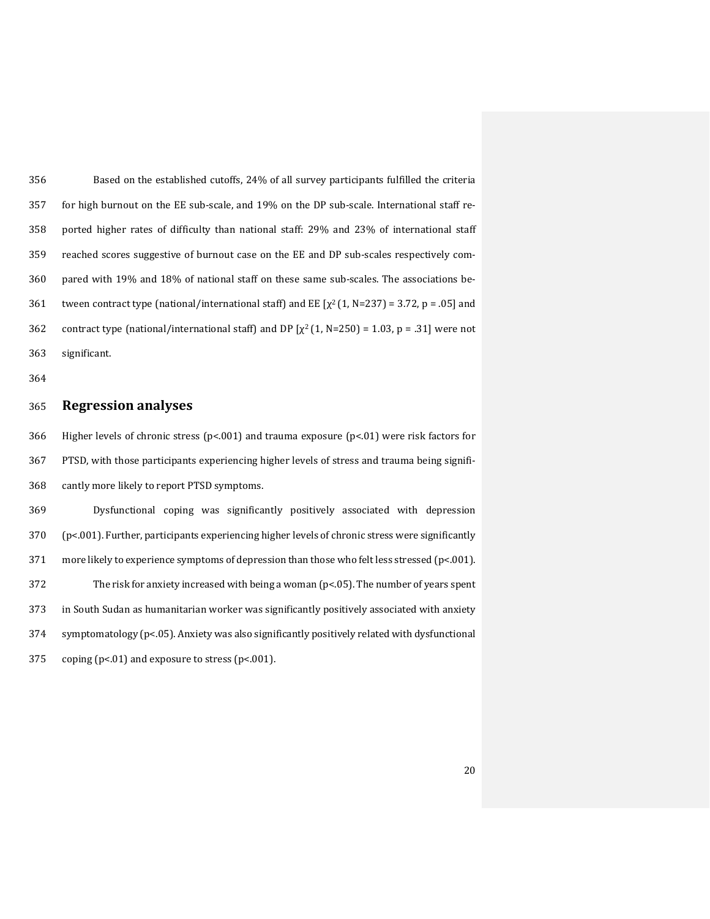Based on the established cutoffs, 24% of all survey participants fulfilled the criteria for high burnout on the EE sub-scale, and 19% on the DP sub-scale. International staff re- ported higher rates of difficulty than national staff: 29% and 23% of international staff reached scores suggestive of burnout case on the EE and DP sub-scales respectively com- pared with 19% and 18% of national staff on these same sub-scales. The associations be-361 tween contract type (national/international staff) and EE  $[\chi^2(1, N=237) = 3.72$ , p = .05] and 362 contract type (national/international staff) and DP  $[\chi^2(1, N=250) = 1.03, p = .31]$  were not significant.

#### **Regression analyses**

 Higher levels of chronic stress (p<.001) and trauma exposure (p<.01) were risk factors for PTSD, with those participants experiencing higher levels of stress and trauma being signifi-cantly more likely to report PTSD symptoms.

 Dysfunctional coping was significantly positively associated with depression (p<.001). Further, participants experiencing higher levels of chronic stress were significantly more likely to experience symptoms of depression than those who felt less stressed (p<.001). 372 The risk for anxiety increased with being a woman  $(p<0.05)$ . The number of years spent in South Sudan as humanitarian worker was significantly positively associated with anxiety symptomatology (p<.05). Anxiety was also significantly positively related with dysfunctional coping (p<.01) and exposure to stress (p<.001).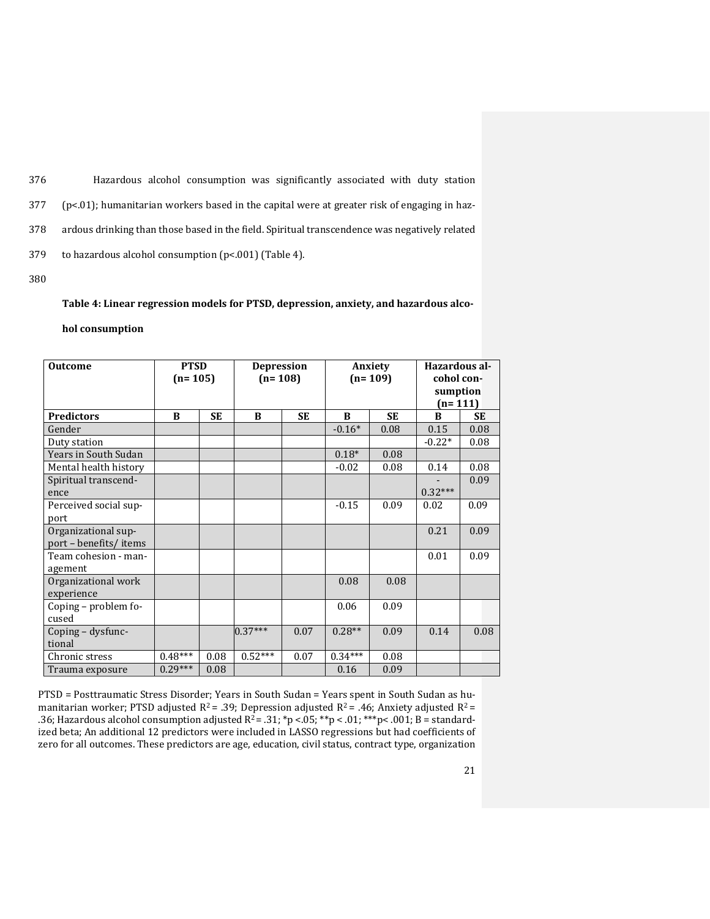Hazardous alcohol consumption was significantly associated with duty station ( $p<01$ ); humanitarian workers based in the capital were at greater risk of engaging in haz- ardous drinking than those based in the field. Spiritual transcendence was negatively related to hazardous alcohol consumption (p<.001) (Table 4).

380

## **Table 4: Linear regression models for PTSD, depression, anxiety, and hazardous alco-**

#### **hol consumption**

| <b>Outcome</b>                               | <b>PTSD</b><br>$(n=105)$ |           | <b>Depression</b><br>$(n=108)$ |           | Anxiety<br>$(n=109)$ |           | Hazardous al-<br>cohol con-<br>sumption<br>$(n=111)$ |      |
|----------------------------------------------|--------------------------|-----------|--------------------------------|-----------|----------------------|-----------|------------------------------------------------------|------|
| <b>Predictors</b>                            | B                        | <b>SE</b> | B                              | <b>SE</b> | B                    | <b>SE</b> | B                                                    | SE   |
| Gender                                       |                          |           |                                |           | $-0.16*$             | 0.08      | 0.15                                                 | 0.08 |
| Duty station                                 |                          |           |                                |           |                      |           | $-0.22*$                                             | 0.08 |
| Years in South Sudan                         |                          |           |                                |           | $0.18*$              | 0.08      |                                                      |      |
| Mental health history                        |                          |           |                                |           | $-0.02$              | 0.08      | 0.14                                                 | 0.08 |
| Spiritual transcend-                         |                          |           |                                |           |                      |           |                                                      | 0.09 |
| ence                                         |                          |           |                                |           |                      |           | $0.32***$                                            |      |
| Perceived social sup-                        |                          |           |                                |           | $-0.15$              | 0.09      | 0.02                                                 | 0.09 |
| port                                         |                          |           |                                |           |                      |           |                                                      |      |
| Organizational sup-<br>port - benefits/items |                          |           |                                |           |                      |           | 0.21                                                 | 0.09 |
| Team cohesion - man-<br>agement              |                          |           |                                |           |                      |           | 0.01                                                 | 0.09 |
| Organizational work                          |                          |           |                                |           | 0.08                 | 0.08      |                                                      |      |
| experience                                   |                          |           |                                |           |                      |           |                                                      |      |
| Coping – problem fo-                         |                          |           |                                |           | 0.06                 | 0.09      |                                                      |      |
| cused                                        |                          |           |                                |           |                      |           |                                                      |      |
| Coping – dysfunc-                            |                          |           | $0.37***$                      | 0.07      | $0.28**$             | 0.09      | 0.14                                                 | 0.08 |
| tional                                       |                          |           |                                |           |                      |           |                                                      |      |
| Chronic stress                               | $0.48***$                | 0.08      | $0.52***$                      | 0.07      | $0.34***$            | 0.08      |                                                      |      |
| Trauma exposure                              | $0.29***$                | 0.08      |                                |           | 0.16                 | 0.09      |                                                      |      |

PTSD = Posttraumatic Stress Disorder; Years in South Sudan = Years spent in South Sudan as humanitarian worker; PTSD adjusted  $R^2$  = .39; Depression adjusted  $R^2$  = .46; Anxiety adjusted  $R^2$  = .36; Hazardous alcohol consumption adjusted  $R^2 = .31$ ; \*p <.05; \*\*p <.01; \*\*\*p <.001; B = standardized beta; An additional 12 predictors were included in LASSO regressions but had coefficients of zero for all outcomes. These predictors are age, education, civil status, contract type, organization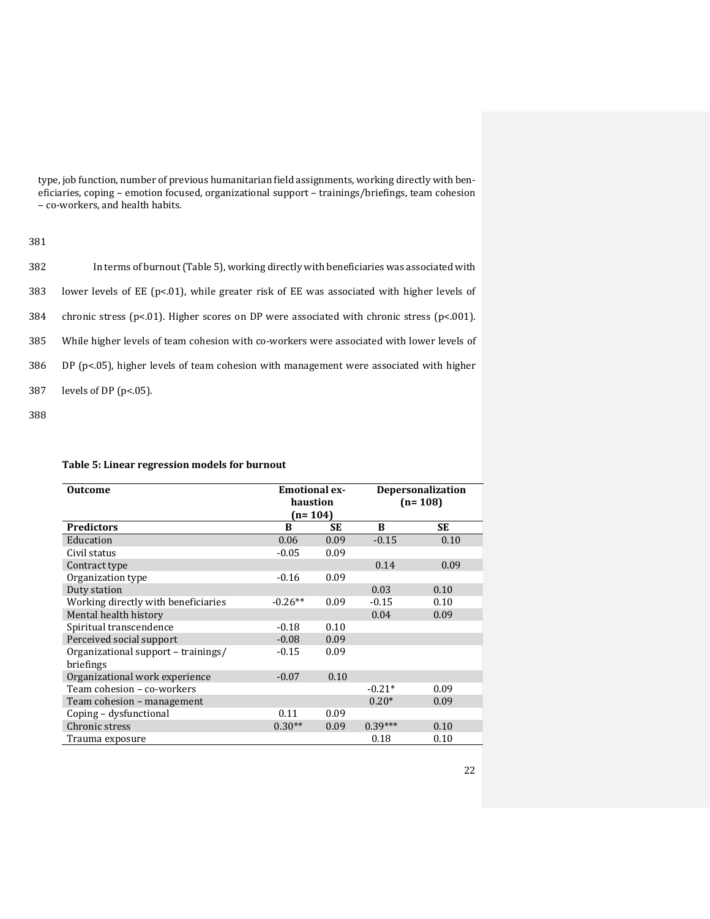type, job function, number of previous humanitarian field assignments, working directly with beneficiaries, coping – emotion focused, organizational support – trainings/briefings, team cohesion – co-workers, and health habits.

#### 381

| 382 | In terms of burnout (Table 5), working directly with beneficiaries was associated with             |
|-----|----------------------------------------------------------------------------------------------------|
| 383 | lower levels of EE ( $p<0.01$ ), while greater risk of EE was associated with higher levels of     |
| 384 | chronic stress ( $p<0.01$ ). Higher scores on DP were associated with chronic stress ( $p<0.01$ ). |
| 385 | While higher levels of team cohesion with co-workers were associated with lower levels of          |
| 386 | DP $(p<0.05)$ , higher levels of team cohesion with management were associated with higher         |
| 387 | levels of DP $(p<.05)$ .                                                                           |

388

#### **Table 5: Linear regression models for burnout**

| <b>Emotional ex-</b><br><b>Outcome</b> |           |      | <b>Depersonalization</b> |           |  |
|----------------------------------------|-----------|------|--------------------------|-----------|--|
|                                        | haustion  |      |                          | $(n=108)$ |  |
|                                        | $(n=104)$ |      |                          |           |  |
| <b>Predictors</b>                      | B         | SE   | B                        | SЕ        |  |
| Education                              | 0.06      | 0.09 | $-0.15$                  | 0.10      |  |
| Civil status                           | $-0.05$   | 0.09 |                          |           |  |
| Contract type                          |           |      | 0.14                     | 0.09      |  |
| Organization type                      | $-0.16$   | 0.09 |                          |           |  |
| Duty station                           |           |      | 0.03                     | 0.10      |  |
| Working directly with beneficiaries    | $-0.26**$ | 0.09 | $-0.15$                  | 0.10      |  |
| Mental health history                  |           |      | 0.04                     | 0.09      |  |
| Spiritual transcendence                | $-0.18$   | 0.10 |                          |           |  |
| Perceived social support               | $-0.08$   | 0.09 |                          |           |  |
| Organizational support – trainings/    | $-0.15$   | 0.09 |                          |           |  |
| briefings                              |           |      |                          |           |  |
| Organizational work experience         | $-0.07$   | 0.10 |                          |           |  |
| Team cohesion - co-workers             |           |      | $-0.21*$                 | 0.09      |  |
| Team cohesion – management             |           |      | $0.20*$                  | 0.09      |  |
| Coping – dysfunctional                 | 0.11      | 0.09 |                          |           |  |
| Chronic stress                         | $0.30**$  | 0.09 | $0.39***$                | 0.10      |  |
| Trauma exposure                        |           |      | 0.18                     | 0.10      |  |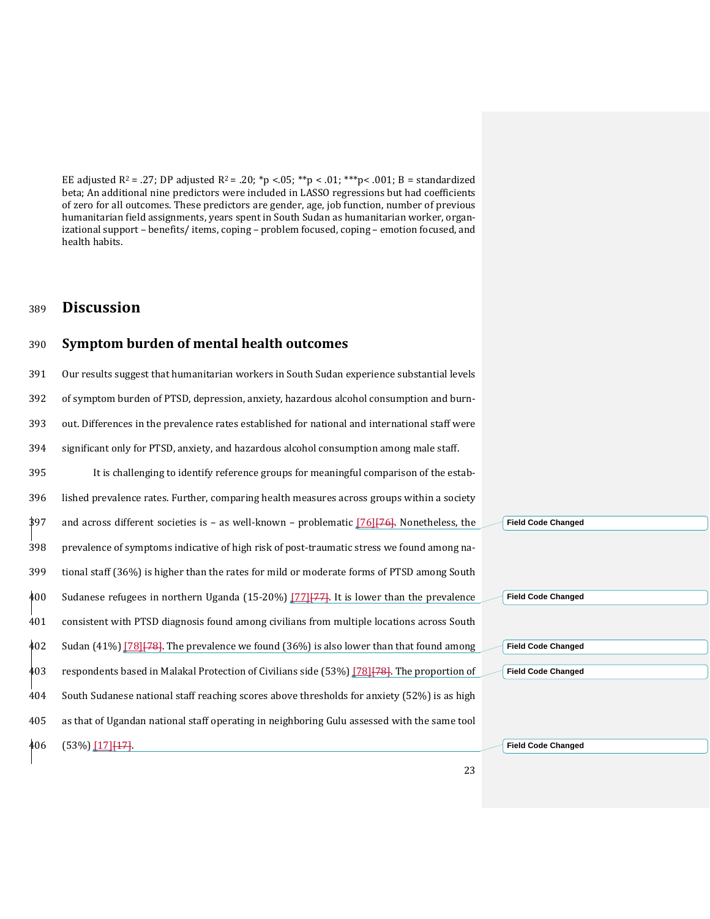EE adjusted  $R^2 = .27$ ; DP adjusted  $R^2 = .20$ ; \*p < 05; \*\*p < 0.01; \*\*\*p < 0.01; B = standardized beta; An additional nine predictors were included in LASSO regressions but had coefficients of zero for all outcomes. These predictors are gender, age, job function, number of previous humanitarian field assignments, years spent in South Sudan as humanitarian worker, organizational support – benefits/ items, coping – problem focused, coping – emotion focused, and health habits.

## <sup>389</sup> **Discussion**

#### 390 **Symptom burden of mental health outcomes**

 Our results suggest that humanitarian workers in South Sudan experience substantial levels of symptom burden of PTSD, depression, anxiety, hazardous alcohol consumption and burn- out. Differences in the prevalence rates established for national and international staff were significant only for PTSD, anxiety, and hazardous alcohol consumption among male staff. It is challenging to identify reference groups for meaningful comparison of the estab- lished prevalence rates. Further, comparing health measures across groups within a society and across different societies is – as well-known – problematic  $[76]$  $[76]$ . Nonetheless, the prevalence of symptoms indicative of high risk of post-traumatic stress we found among na- tional staff (36%) is higher than the rates for mild or moderate forms of PTSD among South Sudanese refugees in northern Uganda (15-20%) [\[77\]](#page-33-5)[77]. It is lower than the prevalence consistent with PTSD diagnosis found among civilians from multiple locations across South Sudan (41%) [\[78\]](#page-33-6)<sup>[78]</sup>. The prevalence we found (36%) is also lower than that found among 403 respondents based in Malakal Protection of Civilians side (53%) [\[78\]](#page-33-6)[78]. The proportion of South Sudanese national staff reaching scores above thresholds for anxiety (52%) is as high as that of Ugandan national staff operating in neighboring Gulu assessed with the same tool 406 (53%) [\[17\]](#page-29-16) [17]. **Field Code Changed Field Code Changed Field Code Changed Field Code Changed Field Code Changed**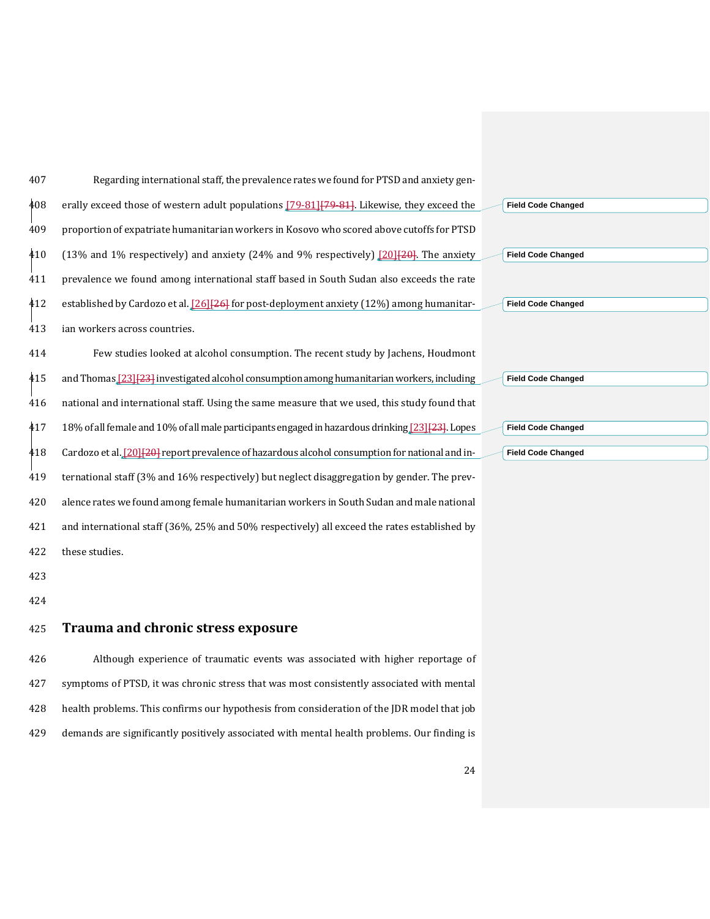| 407 | Regarding international staff, the prevalence rates we found for PTSD and anxiety gen-                  |                           |  |
|-----|---------------------------------------------------------------------------------------------------------|---------------------------|--|
| 408 | erally exceed those of western adult populations [79-81] [79-81]. Likewise, they exceed the             | <b>Field Code Changed</b> |  |
| 409 | proportion of expatriate humanitarian workers in Kosovo who scored above cutoffs for PTSD               |                           |  |
| 410 | (13% and 1% respectively) and anxiety (24% and 9% respectively) $[20]$ $[20]$ . The anxiety             | <b>Field Code Changed</b> |  |
| 411 | prevalence we found among international staff based in South Sudan also exceeds the rate                |                           |  |
| 412 | established by Cardozo et al. $[26]$ <sup>[26]</sup> for post-deployment anxiety (12%) among humanitar- | <b>Field Code Changed</b> |  |
| 413 | ian workers across countries.                                                                           |                           |  |
| 414 | Few studies looked at alcohol consumption. The recent study by Jachens, Houdmont                        |                           |  |
| 415 | and Thomas $[23][23]$ investigated alcohol consumption among humanitarian workers, including            | <b>Field Code Changed</b> |  |
| 416 | national and international staff. Using the same measure that we used, this study found that            |                           |  |
| 417 | 18% of all female and 10% of all male participants engaged in hazardous drinking [23] [23]. Lopes       | <b>Field Code Changed</b> |  |
| 418 | Cardozo et al. [20] [29] report prevalence of hazardous alcohol consumption for national and in-        | <b>Field Code Changed</b> |  |
| 419 | ternational staff (3% and 16% respectively) but neglect disaggregation by gender. The prev-             |                           |  |
| 420 | alence rates we found among female humanitarian workers in South Sudan and male national                |                           |  |
| 421 | and international staff (36%, 25% and 50% respectively) all exceed the rates established by             |                           |  |
| 422 | these studies.                                                                                          |                           |  |
|     |                                                                                                         |                           |  |

- 
- 

## **Trauma and chronic stress exposure**

 Although experience of traumatic events was associated with higher reportage of symptoms of PTSD, it was chronic stress that was most consistently associated with mental health problems. This confirms our hypothesis from consideration of the JDR model that job demands are significantly positively associated with mental health problems. Our finding is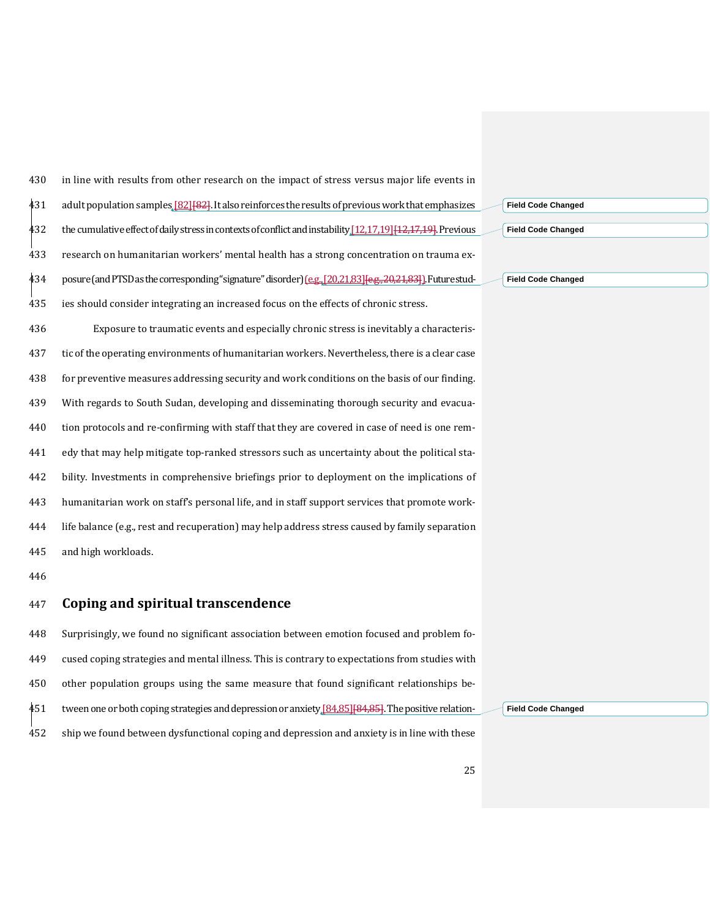in line with results from other research on the impact of stress versus major life events in 431 adult population samples [\[82\]](#page-33-8) [82]. It also reinforces the results of previous work that emphasizes 432 the cumulative effect of daily stress in contexts of conflict and instability [\[12](#page-29-11)[,17](#page-29-16)[,19\]](#page-30-7) [12,17,19]. Previous research on humanitarian workers' mental health has a strong concentration on trauma ex-434 posure (and PTSD as the corresponding "signature" disorder) (e.g., [\[20](#page-30-4)[,21](#page-30-15)[,83\]](#page-33-9) [e.g., 20,21,83]). Future stud- ies should consider integrating an increased focus on the effects of chronic stress. Exposure to traumatic events and especially chronic stress is inevitably a characteris- tic of the operating environments of humanitarian workers.Nevertheless, there is a clear case for preventive measures addressing security and work conditions on the basis of our finding. With regards to South Sudan, developing and disseminating thorough security and evacua- tion protocols and re-confirming with staff that they are covered in case of need is one rem- edy that may help mitigate top-ranked stressors such as uncertainty about the political sta- bility. Investments in comprehensive briefings prior to deployment on the implications of humanitarian work on staff's personal life, and in staff support services that promote work- life balance (e.g., rest and recuperation) may help address stress caused by family separation and high workloads.

#### **Coping and spiritual transcendence**

 Surprisingly, we found no significant association between emotion focused and problem fo- cused coping strategies and mental illness. This is contrary to expectations from studies with other population groups using the same measure that found significant relationships be-451 tween one or both coping strategies and depression or anxiety [\[84](#page-33-10)[,85\]](#page-33-11) [84,85]. The positive relation-ship we found between dysfunctional coping and depression and anxiety is in line with these

| <b>Field Code Changed</b> |  |  |
|---------------------------|--|--|
| <b>Field Code Changed</b> |  |  |
|                           |  |  |
| <b>Field Code Changed</b> |  |  |

**Field Code Changed**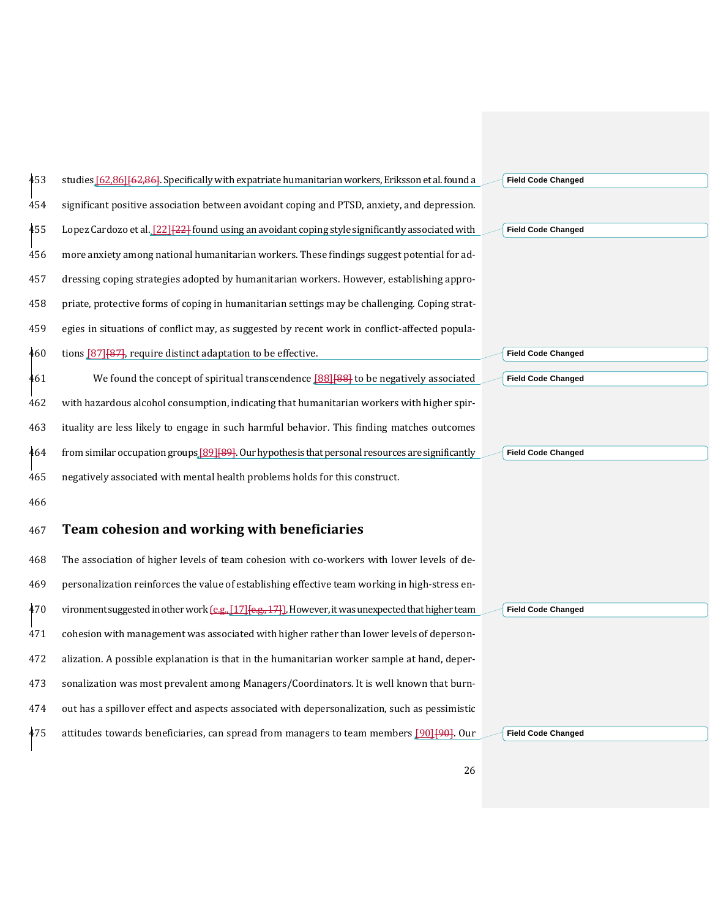| 453 | studies [62,86] [62,86]. Specifically with expatriate humanitarian workers, Eriksson et al. found a         | <b>Field Code Changed</b> |
|-----|-------------------------------------------------------------------------------------------------------------|---------------------------|
| 454 | significant positive association between avoidant coping and PTSD, anxiety, and depression.                 |                           |
| 455 | Lopez Cardozo et al. [22] [22] found using an avoidant coping style significantly associated with           | <b>Field Code Changed</b> |
| 456 | more anxiety among national humanitarian workers. These findings suggest potential for ad-                  |                           |
| 457 | dressing coping strategies adopted by humanitarian workers. However, establishing appro-                    |                           |
| 458 | priate, protective forms of coping in humanitarian settings may be challenging. Coping strat-               |                           |
| 459 | egies in situations of conflict may, as suggested by recent work in conflict-affected popula-               |                           |
| 460 | tions [87] [87], require distinct adaptation to be effective.                                               | <b>Field Code Changed</b> |
| 461 | We found the concept of spiritual transcendence [88][88] to be negatively associated                        | <b>Field Code Changed</b> |
| 462 | with hazardous alcohol consumption, indicating that humanitarian workers with higher spir-                  |                           |
| 463 | ituality are less likely to engage in such harmful behavior. This finding matches outcomes                  |                           |
| 464 | from similar occupation groups [89] [89]. Our hypothesis that personal resources are significantly          | <b>Field Code Changed</b> |
| 465 | negatively associated with mental health problems holds for this construct.                                 |                           |
| 466 |                                                                                                             |                           |
| 467 | Team cohesion and working with beneficiaries                                                                |                           |
| 468 | The association of higher levels of team cohesion with co-workers with lower levels of de-                  |                           |
| 469 | personalization reinforces the value of establishing effective team working in high-stress en-              |                           |
| 470 | vironment suggested in other work $(e.g., [17] \{e.g., 17\})$ . However, it was unexpected that higher team | <b>Field Code Changed</b> |
| 471 | cohesion with management was associated with higher rather than lower levels of deperson-                   |                           |
| 472 | alization. A possible explanation is that in the humanitarian worker sample at hand, deper-                 |                           |
| 473 | sonalization was most prevalent among Managers/Coordinators. It is well known that burn-                    |                           |
| 474 | out has a spillover effect and aspects associated with depersonalization, such as pessimistic               |                           |
| 475 | attitudes towards beneficiaries, can spread from managers to team members [90][90]. Our                     | <b>Field Code Changed</b> |
|     |                                                                                                             |                           |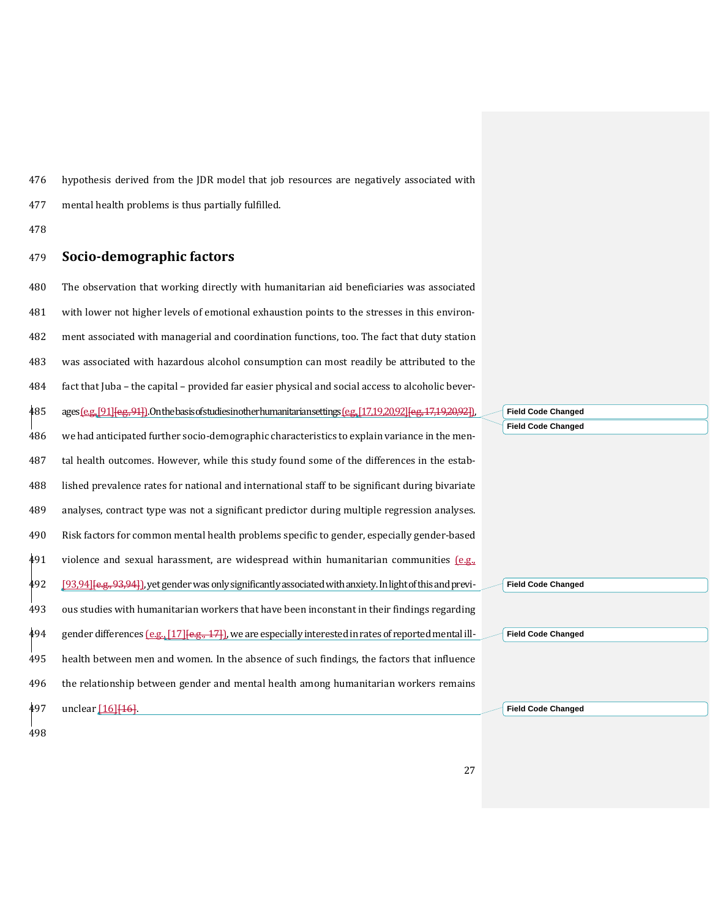hypothesis derived from the JDR model that job resources are negatively associated with

mental health problems is thus partially fulfilled.

#### **Socio-demographic factors**

 The observation that working directly with humanitarian aid beneficiaries was associated with lower not higher levels of emotional exhaustion points to the stresses in this environ- ment associated with managerial and coordination functions, too. The fact that duty station was associated with hazardous alcohol consumption can most readily be attributed to the fact that Juba – the capital – provided far easier physical and social access to alcoholic bever-485 ages (e.g.[, \[91\]](#page-34-1) [e.g., 94]). On the basis of studies in other humanitarian settings (e.g.[, \[17](#page-29-16)[,19](#page-30-7)[,20](#page-30-4)[,92\]](#page-34-2)[e.g., 17,19,20,92]] we had anticipated further socio-demographic characteristics to explain variance in the men- tal health outcomes. However, while this study found some of the differences in the estab- lished prevalence rates for national and international staff to be significant during bivariate analyses, contract type was not a significant predictor during multiple regression analyses. Risk factors for common mental health problems specific to gender, especially gender-based violence and sexual harassment, are widespread within humanitarian communities  $[$ e.g., [\[93](Secret#_ENREF_93)[,94\]](#page-34-3)[e.g., 93,94]), yet gender was only significantly associated with anxiety. In light of this and previ- ous studies with humanitarian workers that have been inconstant in their findings regarding gender differences  $[0.8, 17]$   $[0.8, 17]$ , we are especially interested in rates of reported mental ill- health between men and women. In the absence of such findings, the factors that influence the relationship between gender and mental health among humanitarian workers remains 497 unclear [\[16\]](#page-29-15) [16].

**Field Code Changed Field Code Changed**

**Field Code Changed**

**Field Code Changed**

**Field Code Changed**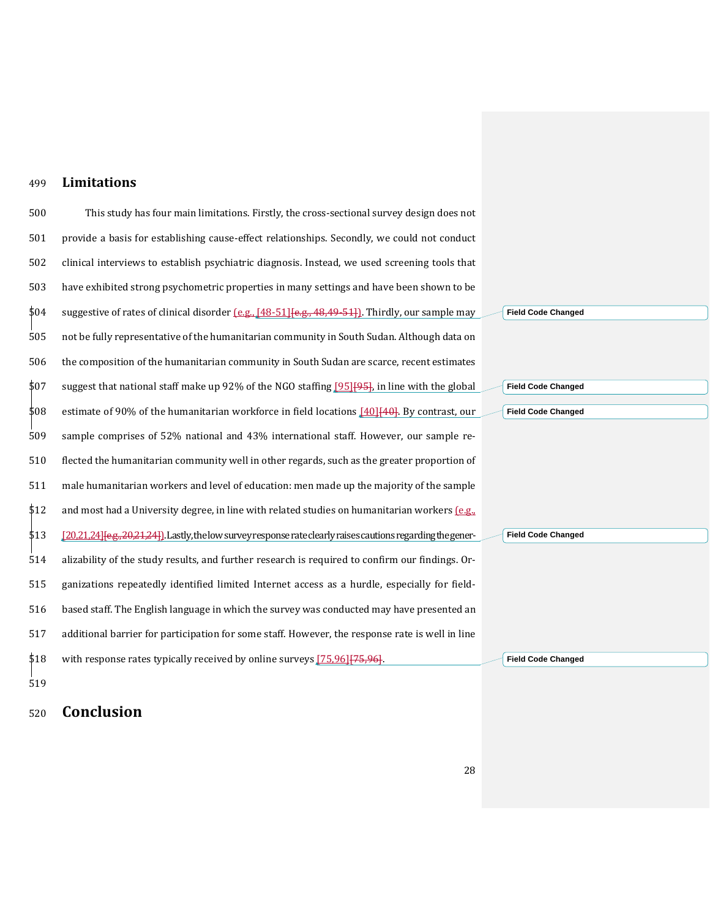#### **Limitations**

500 This study has four main limitations. Firstly, the cross-sectional survey design does not provide a basis for establishing cause-effect relationships. Secondly, we could not conduct clinical interviews to establish psychiatric diagnosis. Instead, we used screening tools that have exhibited strong psychometric properties in many settings and have been shown to be suggestive of rates of clinical disorder (e.g., [\[48-51\]](#page-31-11)[e.g., 48,49-51]). Thirdly, our sample may not be fully representative of the humanitarian community in South Sudan. Although data on the composition of the humanitarian community in South Sudan are scarce, recent estimates suggest that national staff make up 92% of the NGO staffing [\[95\]](#page-34-4)[95], in line with the global 508 estimate of 90% of the humanitarian workforce in field locations  $[40]$ [40]. By contrast, our sample comprises of 52% national and 43% international staff. However, our sample re- flected the humanitarian community well in other regards, such as the greater proportion of male humanitarian workers and level of education: men made up the majority of the sample  $$12$  and most had a University degree, in line with related studies on humanitarian workers  $[$  e.g., [\[20](#page-30-4)[,21](#page-30-15)[,24\]](#page-30-2)[e.g., 20,21,24]). Lastly, the low survey response rate clearly raises cautions regarding the gener- alizability of the study results, and further research is required to confirm our findings. Or- ganizations repeatedly identified limited Internet access as a hurdle, especially for field- based staff. The English language in which the survey was conducted may have presented an additional barrier for participation for some staff. However, the response rate is well in line 518 with response rates typically received by online surveys [\[75](#page-33-3)[,96\]](#page-34-5) [75,96]. **Field Code Changed Field Code Changed Field Code Changed Field Code Changed Field Code Changed**

## **Conclusion**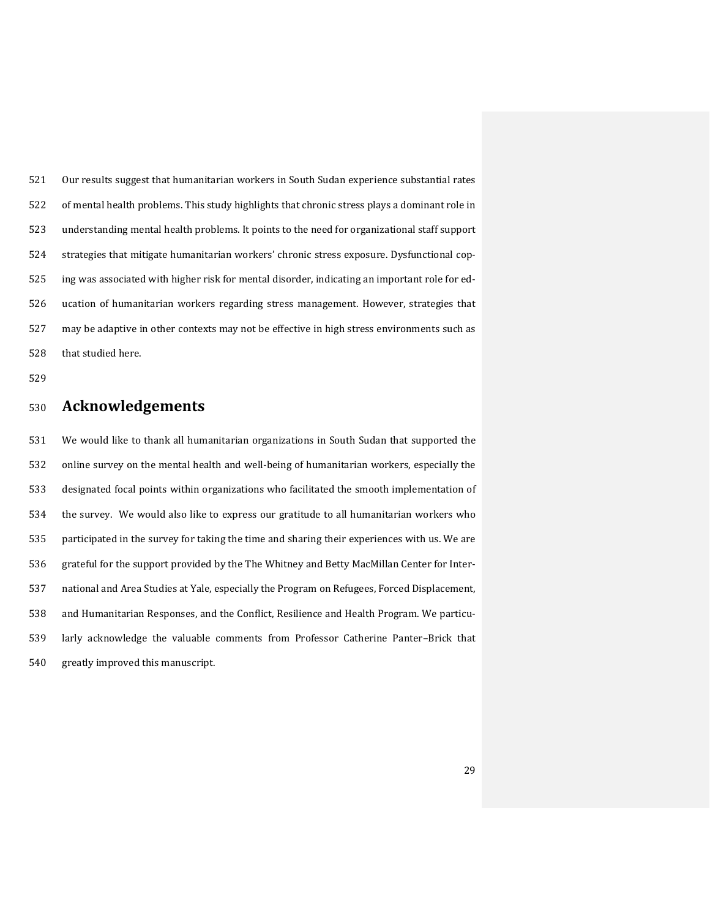Our results suggest that humanitarian workers in South Sudan experience substantial rates of mental health problems. This study highlights that chronic stress plays a dominant role in understanding mental health problems. It points to the need for organizational staff support strategies that mitigate humanitarian workers' chronic stress exposure. Dysfunctional cop- ing was associated with higher risk for mental disorder, indicating an important role for ed- ucation of humanitarian workers regarding stress management. However, strategies that may be adaptive in other contexts may not be effective in high stress environments such as that studied here.

## **Acknowledgements**

 We would like to thank all humanitarian organizations in South Sudan that supported the online survey on the mental health and well-being of humanitarian workers, especially the designated focal points within organizations who facilitated the smooth implementation of the survey. We would also like to express our gratitude to all humanitarian workers who participated in the survey for taking the time and sharing their experiences with us. We are grateful for the support provided by the The Whitney and Betty MacMillan Center for Inter- national and Area Studies at Yale, especially the Program on Refugees, Forced Displacement, and Humanitarian Responses, and the Conflict, Resilience and Health Program. We particu- larly acknowledge the valuable comments from Professor Catherine Panter–Brick that greatly improved this manuscript.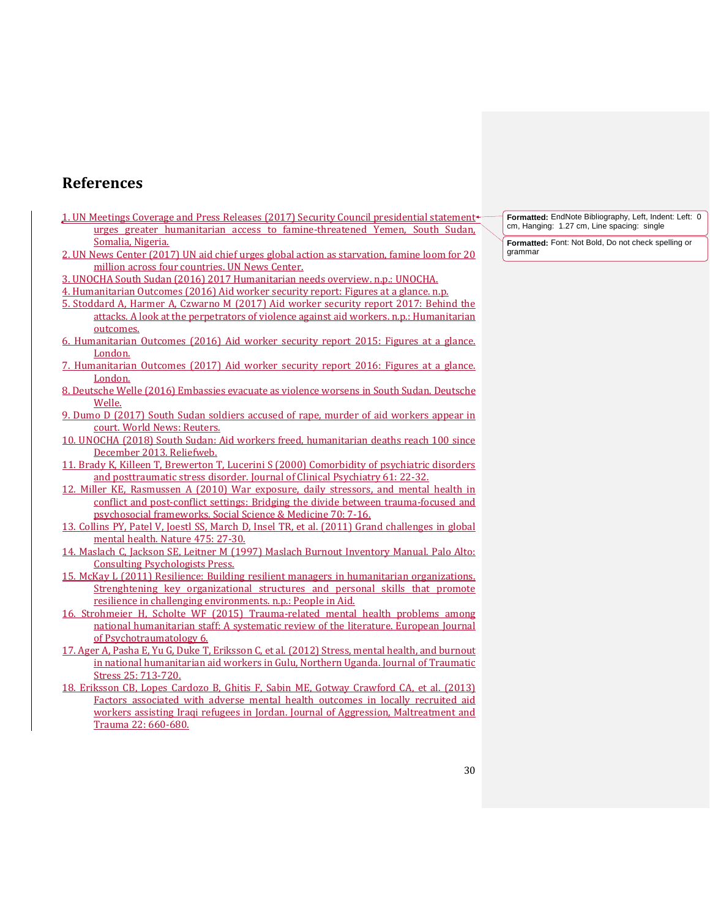## **References**

- <span id="page-29-0"></span>1. UN Meetings Coverage and Press Releases (2017) Security Council presidential statement urges greater humanitarian access to famine-threatened Yemen, South Sudan, Somalia, Nigeria.
- <span id="page-29-1"></span>2. UN News Center (2017) UN aid chief urges global action as starvation, famine loom for 20 million across four countries. UN News Center.
- <span id="page-29-2"></span>3. UNOCHA South Sudan (2016) 2017 Humanitarian needs overview. n.p.: UNOCHA.
- <span id="page-29-3"></span>4. Humanitarian Outcomes (2016) Aid worker security report: Figures at a glance. n.p.
- <span id="page-29-4"></span>5. Stoddard A, Harmer A, Czwarno M (2017) Aid worker security report 2017: Behind the attacks. A look at the perpetrators of violence against aid workers. n.p.: Humanitarian outcomes.
- <span id="page-29-5"></span>6. Humanitarian Outcomes (2016) Aid worker security report 2015: Figures at a glance. London.
- <span id="page-29-6"></span>7. Humanitarian Outcomes (2017) Aid worker security report 2016: Figures at a glance. London.
- <span id="page-29-7"></span>8. Deutsche Welle (2016) Embassies evacuate as violence worsens in South Sudan. Deutsche Welle.
- <span id="page-29-8"></span>9. Dumo D (2017) South Sudan soldiers accused of rape, murder of aid workers appear in court. World News: Reuters.
- <span id="page-29-9"></span>10. UNOCHA (2018) South Sudan: Aid workers freed, humanitarian deaths reach 100 since December 2013. Reliefweb.
- <span id="page-29-10"></span>11. Brady K, Killeen T, Brewerton T, Lucerini S (2000) Comorbidity of psychiatric disorders and posttraumatic stress disorder. Journal of Clinical Psychiatry 61: 22-32.
- <span id="page-29-11"></span>12. Miller KE, Rasmussen A (2010) War exposure, daily stressors, and mental health in conflict and post-conflict settings: Bridging the divide between trauma-focused and psychosocial frameworks. Social Science & Medicine 70: 7-16.
- <span id="page-29-12"></span>13. Collins PY, Patel V, Joestl SS, March D, Insel TR, et al. (2011) Grand challenges in global mental health. Nature 475: 27-30.
- <span id="page-29-13"></span>14. Maslach C, Jackson SE, Leitner M (1997) Maslach Burnout Inventory Manual. Palo Alto: Consulting Psychologists Press.
- <span id="page-29-14"></span>15. McKay L (2011) Resilience: Building resilient managers in humanitarian organizations. Strenghtening key organizational structures and personal skills that promote resilience in challenging environments. n.p.: People in Aid.
- <span id="page-29-15"></span>16. Strohmeier H, Scholte WF (2015) Trauma-related mental health problems among national humanitarian staff: A systematic review of the literature. European Journal of Psychotraumatology 6.
- <span id="page-29-16"></span>17. Ager A, Pasha E, Yu G, Duke T, Eriksson C, et al. (2012) Stress, mental health, and burnout in national humanitarian aid workers in Gulu, Northern Uganda. Journal of Traumatic Stress 25: 713-720.
- <span id="page-29-17"></span>18. Eriksson CB, Lopes Cardozo B, Ghitis F, Sabin ME, Gotway Crawford CA, et al. (2013) Factors associated with adverse mental health outcomes in locally recruited aid workers assisting Iraqi refugees in Jordan. Journal of Aggression, Maltreatment and Trauma 22: 660-680.

**Formatted:** EndNote Bibliography, Left, Indent: Left: 0 cm, Hanging: 1.27 cm, Line spacing: single

**Formatted:** Font: Not Bold, Do not check spelling or grammar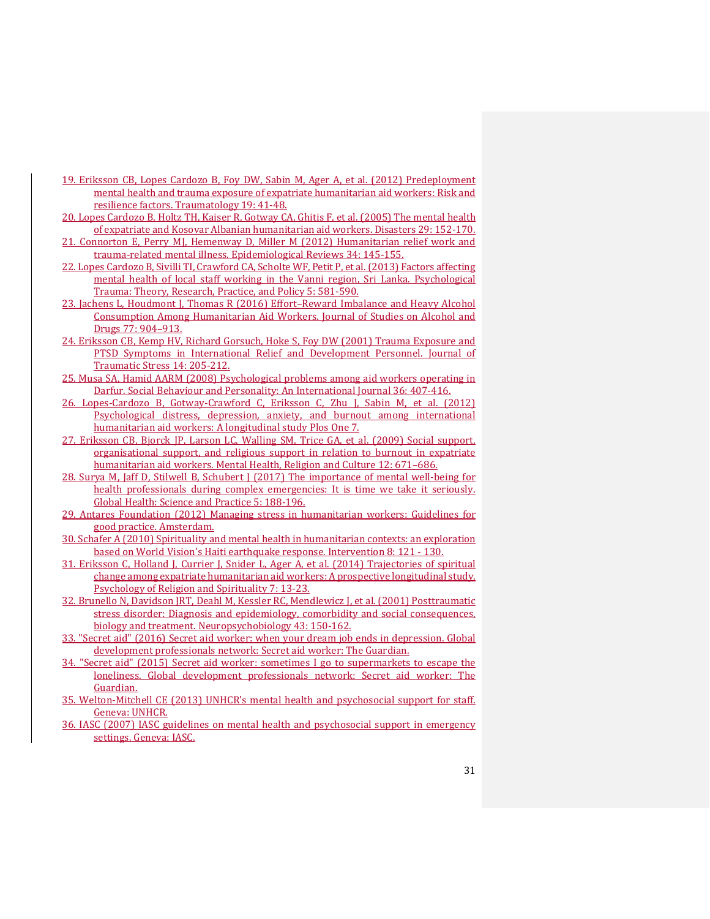- <span id="page-30-7"></span>19. Eriksson CB, Lopes Cardozo B, Foy DW, Sabin M, Ager A, et al. (2012) Predeployment mental health and trauma exposure of expatriate humanitarian aid workers: Risk and resilience factors. Traumatology 19: 41-48.
- <span id="page-30-4"></span>20. Lopes Cardozo B, Holtz TH, Kaiser R, Gotway CA, Ghitis F, et al. (2005) The mental health of expatriate and Kosovar Albanian humanitarian aid workers. Disasters 29: 152-170.
- <span id="page-30-15"></span>21. Connorton E, Perry MJ, Hemenway D, Miller M (2012) Humanitarian relief work and trauma-related mental illness. Epidemiological Reviews 34: 145-155.
- <span id="page-30-1"></span>22. Lopes Cardozo B, Sivilli TI, Crawford CA, Scholte WF, Petit P, et al. (2013) Factors affecting mental health of local staff working in the Vanni region, Sri Lanka. Psychological Trauma: Theory, Research, Practice, and Policy 5: 581-590.
- <span id="page-30-0"></span>23. Jachens L, Houdmont J, Thomas R (2016) Effort–Reward Imbalance and Heavy Alcohol Consumption Among Humanitarian Aid Workers. Journal of Studies on Alcohol and Drugs 77: 904–913.
- <span id="page-30-2"></span>24. Eriksson CB, Kemp HV, Richard Gorsuch, Hoke S, Foy DW (2001) Trauma Exposure and PTSD Symptoms in International Relief and Development Personnel. Journal of Traumatic Stress 14: 205-212.
- <span id="page-30-3"></span>25. Musa SA, Hamid AARM (2008) Psychological problems among aid workers operating in Darfur. Social Behaviour and Personality: An International Journal 36: 407-416.
- <span id="page-30-5"></span>26. Lopes-Cardozo B, Gotway-Crawford C, Eriksson C, Zhu J, Sabin M, et al. (2012) Psychological distress, depression, anxiety, and burnout among international humanitarian aid workers: A longitudinal study Plos One 7.
- <span id="page-30-6"></span>27. Eriksson CB, Bjorck JP, Larson LC, Walling SM, Trice GA, et al. (2009) Social support, organisational support, and religious support in relation to burnout in expatriate humanitarian aid workers. Mental Health, Religion and Culture 12: 671–686.
- <span id="page-30-8"></span>28. Surya M, Jaff D, Stilwell B, Schubert J (2017) The importance of mental well-being for health professionals during complex emergencies: It is time we take it seriously. Global Health: Science and Practice 5: 188-196.
- <span id="page-30-9"></span>29. Antares Foundation (2012) Managing stress in humanitarian workers: Guidelines for good practice. Amsterdam.
- <span id="page-30-10"></span>30. Schafer A (2010) Spirituality and mental health in humanitarian contexts: an exploration based on World Vision's Haiti earthquake response. Intervention 8: 121 - 130.
- <span id="page-30-11"></span>31. Eriksson C, Holland J, Currier J, Snider L, Ager A, et al. (2014) Trajectories of spiritual change among expatriate humanitarian aid workers: A prospective longitudinal study. Psychology of Religion and Spirituality 7: 13-23.
- <span id="page-30-12"></span>32. Brunello N, Davidson JRT, Deahl M, Kessler RC, Mendlewicz J, et al. (2001) Posttraumatic stress disorder: Diagnosis and epidemiology, comorbidity and social consequences, biology and treatment. Neuropsychobiology 43: 150-162.
- 33. "Secret aid" (2016) Secret aid worker: when your dream job ends in depression. Global development professionals network: Secret aid worker: The Guardian.
- 34. "Secret aid" (2015) Secret aid worker: sometimes I go to supermarkets to escape the loneliness. Global development professionals network: Secret aid worker: The Guardian.
- <span id="page-30-13"></span>35. Welton-Mitchell CE (2013) UNHCR's mental health and psychosocial support for staff. Geneva: UNHCR.
- <span id="page-30-14"></span>36. IASC (2007) IASC guidelines on mental health and psychosocial support in emergency settings. Geneva: IASC.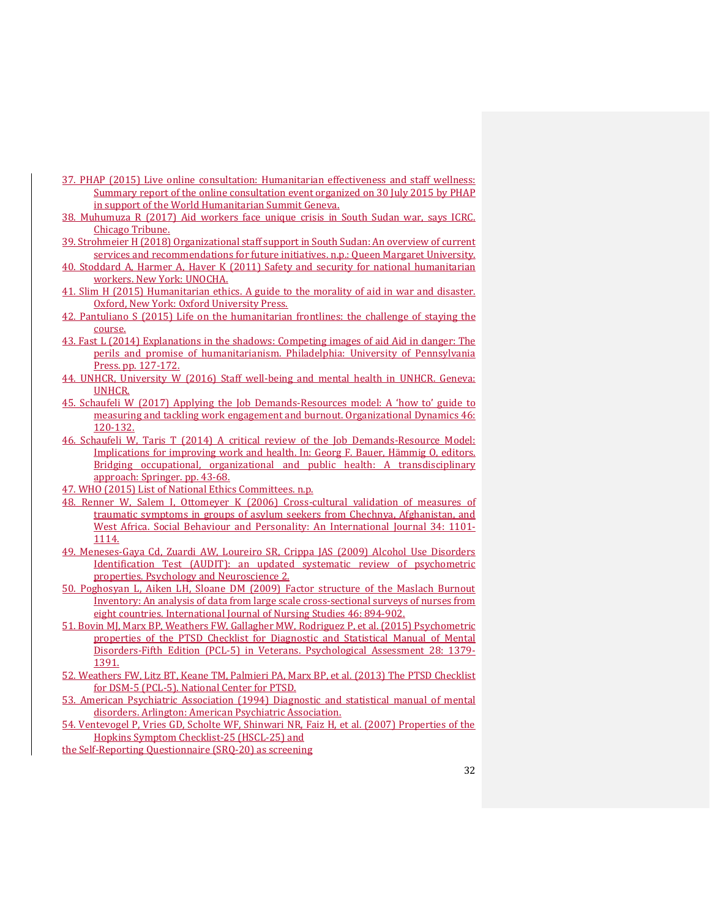- <span id="page-31-0"></span>37. PHAP (2015) Live online consultation: Humanitarian effectiveness and staff wellness: Summary report of the online consultation event organized on 30 July 2015 by PHAP in support of the World Humanitarian Summit Geneva.
- <span id="page-31-1"></span>38. Muhumuza R (2017) Aid workers face unique crisis in South Sudan war, says ICRC. Chicago Tribune.
- <span id="page-31-2"></span>39. Strohmeier H (2018) Organizational staff support in South Sudan: An overview of current services and recommendations for future initiatives. n.p.: Queen Margaret University.
- <span id="page-31-3"></span>40. Stoddard A, Harmer A, Haver K (2011) Safety and security for national humanitarian workers. New York: UNOCHA.
- <span id="page-31-4"></span>41. Slim H (2015) Humanitarian ethics. A guide to the morality of aid in war and disaster. Oxford, New York: Oxford University Press.
- <span id="page-31-5"></span>42. Pantuliano S (2015) Life on the humanitarian frontlines: the challenge of staying the course.
- <span id="page-31-6"></span>43. Fast L (2014) Explanations in the shadows: Competing images of aid Aid in danger: The perils and promise of humanitarianism. Philadelphia: University of Pennsylvania Press. pp. 127-172.
- <span id="page-31-7"></span>44. UNHCR, University W (2016) Staff well-being and mental health in UNHCR. Geneva: UNHCR.
- <span id="page-31-8"></span>45. Schaufeli W (2017) Applying the Job Demands-Resources model: A 'how to' guide to measuring and tackling work engagement and burnout. Organizational Dynamics 46: 120-132.
- <span id="page-31-9"></span>46. Schaufeli W, Taris T (2014) A critical review of the Job Demands-Resource Model: Implications for improving work and health. In: Georg F. Bauer, Hämmig O, editors. Bridging occupational, organizational and public health: A transdisciplinary approach: Springer. pp. 43-68.
- <span id="page-31-10"></span>47. WHO (2015) List of National Ethics Committees. n.p.
- <span id="page-31-11"></span>48. Renner W, Salem I, Ottomeyer K (2006) Cross-cultural validation of measures of traumatic symptoms in groups of asylum seekers from Chechnya, Afghanistan, and West Africa. Social Behaviour and Personality: An International Journal 34: 1101- 1114.
- 49. Meneses-Gaya Cd, Zuardi AW, Loureiro SR, Crippa JAS (2009) Alcohol Use Disorders Identification Test (AUDIT): an updated systematic review of psychometric properties. Psychology and Neuroscience 2.
- 50. Poghosyan L, Aiken LH, Sloane DM (2009) Factor structure of the Maslach Burnout Inventory: An analysis of data from large scale cross-sectional surveys of nurses from eight countries. International Journal of Nursing Studies 46: 894-902.
- 51. Bovin MJ, Marx BP, Weathers FW, Gallagher MW, Rodriguez P, et al. (2015) Psychometric properties of the PTSD Checklist for Diagnostic and Statistical Manual of Mental Disorders-Fifth Edition (PCL-5) in Veterans. Psychological Assessment 28: 1379- 1391.
- <span id="page-31-12"></span>52. Weathers FW, Litz BT, Keane TM, Palmieri PA, Marx BP, et al. (2013) The PTSD Checklist for DSM-5 (PCL-5). National Center for PTSD.
- <span id="page-31-13"></span>53. American Psychiatric Association (1994) Diagnostic and statistical manual of mental disorders. Arlington: American Psychiatric Association.
- <span id="page-31-14"></span>54. Ventevogel P, Vries GD, Scholte WF, Shinwari NR, Faiz H, et al. (2007) Properties of the Hopkins Symptom Checklist-25 (HSCL-25) and

the Self-Reporting Questionnaire (SRQ-20) as screening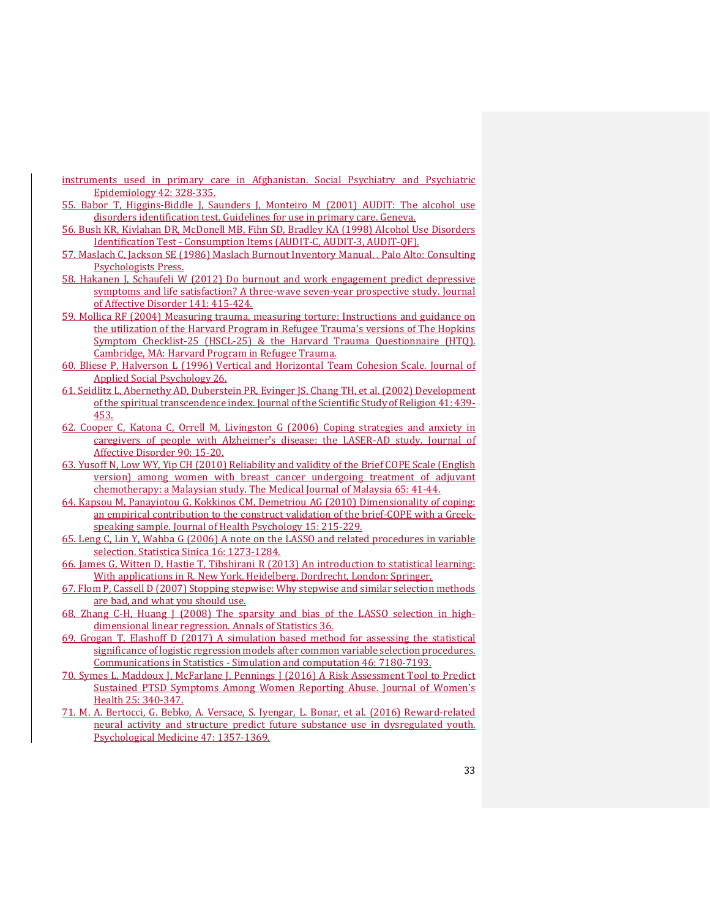- instruments used in primary care in Afghanistan. Social Psychiatry and Psychiatric Epidemiology 42: 328-335.
- <span id="page-32-0"></span>55. Babor T, Higgins-Biddle J, Saunders J, Monteiro M (2001) AUDIT: The alcohol use disorders identification test. Guidelines for use in primary care. Geneva.
- <span id="page-32-1"></span>56. Bush KR, Kivlahan DR, McDonell MB, Fihn SD, Bradley KA (1998) Alcohol Use Disorders Identification Test - Consumption Items (AUDIT-C, AUDIT-3, AUDIT-QF).
- <span id="page-32-2"></span>57. Maslach C, Jackson SE (1986) Maslach Burnout Inventory Manual. . Palo Alto: Consulting Psychologists Press.
- <span id="page-32-3"></span>58. Hakanen J, Schaufeli W (2012) Do burnout and work engagement predict depressive symptoms and life satisfaction? A three-wave seven-year prospective study. Journal of Affective Disorder 141: 415-424.
- <span id="page-32-4"></span>59. Mollica RF (2004) Measuring trauma, measuring torture: Instructions and guidance on the utilization of the Harvard Program in Refugee Trauma's versions of The Hopkins Symptom Checklist-25 (HSCL-25) & the Harvard Trauma Questionnaire (HTQ). Cambridge, MA: Harvard Program in Refugee Trauma.
- <span id="page-32-5"></span>60. Bliese P, Halverson L (1996) Vertical and Horizontal Team Cohesion Scale. Journal of Applied Social Psychology 26.
- <span id="page-32-6"></span>61. Seidlitz L, Abernethy AD, Duberstein PR, Evinger JS, Chang TH, et al. (2002) Development of the spiritual transcendence index. Journal of the Scientific Study of Religion 41: 439- 453.
- <span id="page-32-7"></span>62. Cooper C, Katona C, Orrell M, Livingston G (2006) Coping strategies and anxiety in caregivers of people with Alzheimer's disease: the LASER-AD study. Journal of Affective Disorder 90: 15-20.
- <span id="page-32-8"></span>63. Yusoff N, Low WY, Yip CH (2010) Reliability and validity of the Brief COPE Scale (English version) among women with breast cancer undergoing treatment of adjuvant chemotherapy: a Malaysian study. The Medical Journal of Malaysia 65: 41-44.
- <span id="page-32-9"></span>64. Kapsou M, Panayiotou G, Kokkinos CM, Demetriou AG (2010) Dimensionality of coping: an empirical contribution to the construct validation of the brief-COPE with a Greekspeaking sample. Journal of Health Psychology 15: 215-229.
- <span id="page-32-10"></span>65. Leng C, Lin Y, Wahba G (2006) A note on the LASSO and related procedures in variable selection. Statistica Sinica 16: 1273-1284.
- 66. James G, Witten D, Hastie T, Tibshirani R (2013) An introduction to statistical learning: With applications in R. New York, Heidelberg, Dordrecht, London: Springer.
- 67. Flom P, Cassell D (2007) Stopping stepwise: Why stepwise and similar selection methods are bad, and what you should use.
- <span id="page-32-11"></span>68. Zhang C-H, Huang J (2008) The sparsity and bias of the LASSO selection in highdimensional linear regression. Annals of Statistics 36.
- <span id="page-32-12"></span>69. Grogan T, Elashoff D (2017) A simulation based method for assessing the statistical significance of logistic regression models after common variable selection procedures. Communications in Statistics - Simulation and computation 46: 7180-7193.
- <span id="page-32-13"></span>70. Symes L, Maddoux J, McFarlane J, Pennings J (2016) A Risk Assessment Tool to Predict Sustained PTSD Symptoms Among Women Reporting Abuse. Journal of Women's Health 25: 340-347.
- <span id="page-32-14"></span>71. M. A. Bertocci, G. Bebko, A. Versace, S. Iyengar, L. Bonar, et al. (2016) Reward-related neural activity and structure predict future substance use in dysregulated youth. Psychological Medicine 47: 1357-1369.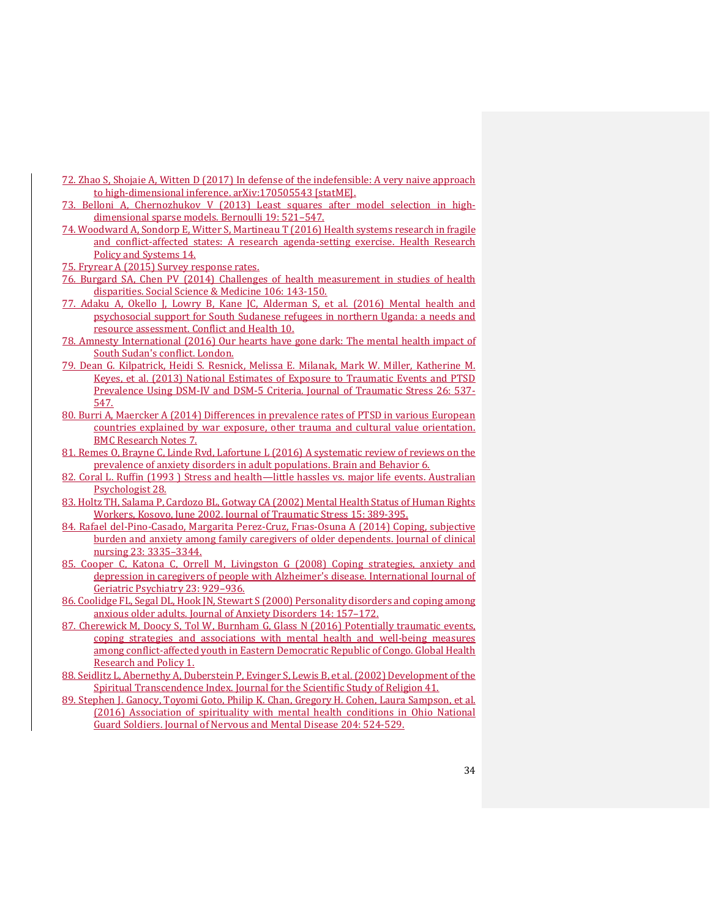- <span id="page-33-0"></span>72. Zhao S, Shojaie A, Witten D (2017) In defense of the indefensible: A very naive approach to high-dimensional inference. arXiv:170505543 [statME].
- <span id="page-33-1"></span>73. Belloni A, Chernozhukov V (2013) Least squares after model selection in highdimensional sparse models. Bernoulli 19: 521–547.
- <span id="page-33-2"></span>74. Woodward A, Sondorp E, Witter S, Martineau T (2016) Health systems research in fragile and conflict-affected states: A research agenda-setting exercise. Health Research Policy and Systems 14.

<span id="page-33-3"></span>75. Fryrear A (2015) Survey response rates.

- <span id="page-33-4"></span>76. Burgard SA, Chen PV (2014) Challenges of health measurement in studies of health disparities. Social Science & Medicine 106: 143-150.
- <span id="page-33-5"></span>77. Adaku A, Okello J, Lowry B, Kane JC, Alderman S, et al. (2016) Mental health and psychosocial support for South Sudanese refugees in northern Uganda: a needs and resource assessment. Conflict and Health 10.
- <span id="page-33-6"></span>78. Amnesty International (2016) Our hearts have gone dark: The mental health impact of South Sudan's conflict. London.
- <span id="page-33-7"></span>79. Dean G. Kilpatrick, Heidi S. Resnick, Melissa E. Milanak, Mark W. Miller, Katherine M. Keyes, et al. (2013) National Estimates of Exposure to Traumatic Events and PTSD Prevalence Using DSM-IV and DSM-5 Criteria. Journal of Traumatic Stress 26: 537- 547.
- 80. Burri A, Maercker A (2014) Differences in prevalence rates of PTSD in various European countries explained by war exposure, other trauma and cultural value orientation. BMC Research Notes 7.
- 81. Remes O, Brayne C, Linde Rvd, Lafortune L (2016) A systematic review of reviews on the prevalence of anxiety disorders in adult populations. Brain and Behavior 6.
- <span id="page-33-8"></span>82. Coral L. Ruffin (1993 ) Stress and health—little hassles vs. major life events. Australian Psychologist 28.
- <span id="page-33-9"></span>83. Holtz TH, Salama P, Cardozo BL, Gotway CA (2002) Mental Health Status of Human Rights Workers, Kosovo, June 2002. Journal of Traumatic Stress 15: 389-395.
- <span id="page-33-10"></span>84. Rafael del-Pino-Casado, Margarita Perez-Cruz, Frıas-Osuna A (2014) Coping, subjective burden and anxiety among family caregivers of older dependents. Journal of clinical nursing 23: 3335–3344.
- <span id="page-33-11"></span>85. Cooper C, Katona C, Orrell M, Livingston G (2008) Coping strategies, anxiety and depression in caregivers of people with Alzheimer's disease. International Journal of Geriatric Psychiatry 23: 929–936.
- <span id="page-33-12"></span>86. Coolidge FL, Segal DL, Hook JN, Stewart S (2000) Personality disorders and coping among anxious older adults. Journal of Anxiety Disorders 14: 157–172.
- <span id="page-33-13"></span>87. Cherewick M, Doocy S, Tol W, Burnham G, Glass N (2016) Potentially traumatic events, coping strategies and associations with mental health and well-being measures among conflict-affected youth in Eastern Democratic Republic of Congo. Global Health Research and Policy 1.
- <span id="page-33-14"></span>88. Seidlitz L, Abernethy A, Duberstein P, Evinger S, Lewis B, et al. (2002) Development of the Spiritual Transcendence Index. Journal for the Scientific Study of Religion 41.
- <span id="page-33-15"></span>89. Stephen J. Ganocy, Toyomi Goto, Philip K. Chan, Gregory H. Cohen, Laura Sampson, et al. (2016) Association of spirituality with mental health conditions in Ohio National Guard Soldiers. Journal of Nervous and Mental Disease 204: 524-529.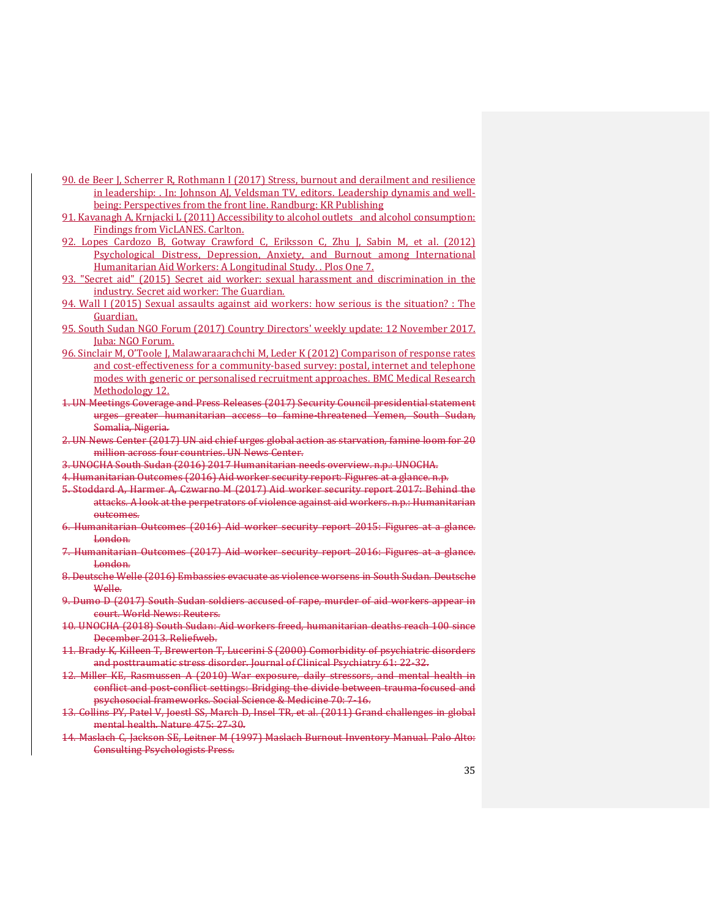- <span id="page-34-0"></span>90. de Beer J, Scherrer R, Rothmann I (2017) Stress, burnout and derailment and resilience in leadership: . In: Johnson AJ, Veldsman TV, editors. Leadership dynamis and wellbeing: Perspectives from the front line. Randburg: KR Publishing
- <span id="page-34-1"></span>91. Kavanagh A, Krnjacki L (2011) Accessibility to alcohol outlets and alcohol consumption: Findings from VicLANES. Carlton.
- <span id="page-34-2"></span>92. Lopes Cardozo B, Gotway Crawford C, Eriksson C, Zhu J, Sabin M, et al. (2012) Psychological Distress, Depression, Anxiety, and Burnout among International Humanitarian Aid Workers: A Longitudinal Study. . Plos One 7.
- 93. "Secret aid" (2015) Secret aid worker: sexual harassment and discrimination in the industry. Secret aid worker: The Guardian.
- <span id="page-34-3"></span>94. Wall I (2015) Sexual assaults against aid workers: how serious is the situation? : The Guardian.
- <span id="page-34-4"></span>95. South Sudan NGO Forum (2017) Country Directors' weekly update: 12 November 2017. Juba: NGO Forum.
- <span id="page-34-5"></span>96. Sinclair M, O'Toole J, Malawaraarachchi M, Leder K (2012) Comparison of response rates and cost-effectiveness for a community-based survey: postal, internet and telephone modes with generic or personalised recruitment approaches. BMC Medical Research Methodology 12.
- 1. UN Meetings Coverage and Press Releases (2017) Security Council presidential statement urges greater humanitarian access to famine-threatened Yemen, South Sudan, Somalia, Nigeria.
- 2. UN News Center (2017) UN aid chief urges global action as starvation, famine loom for 20 million across four countries. UN News Center.
- 3. UNOCHA South Sudan (2016) 2017 Humanitarian needs overview. n.p.: UNOCHA.
- 4. Humanitarian Outcomes (2016) Aid worker security report: Figures at a glance. n.p.
- 5. Stoddard A, Harmer A, Czwarno M (2017) Aid worker security report 2017: Behind the attacks. A look at the perpetrators of violence against aid workers. n.p.: Humanitarian outcomes.
- 6. Humanitarian Outcomes (2016) Aid worker security report 2015: Figures at a glance. London.
- 7. Humanitarian Outcomes (2017) Aid worker security report 2016: Figures at a glance. London.
- 8. Deutsche Welle (2016) Embassies evacuate as violence worsens in South Sudan. Deutsche Welle.
- 9. Dumo D (2017) South Sudan soldiers accused of rape, murder of aid workers appear in court. World News: Reuters.
- 10. UNOCHA (2018) South Sudan: Aid workers freed, humanitarian deaths reach 100 since December 2013. Reliefweb.
- 11. Brady K, Killeen T, Brewerton T, Lucerini S (2000) Comorbidity of psychiatric disorders and posttraumatic stress disorder. Journal of Clinical Psychiatry 61: 22-32.
- 12. Miller KE, Rasmussen A (2010) War exposure, daily stressors, and mental health in conflict and post-conflict settings: Bridging the divide between trauma-focused and psychosocial frameworks. Social Science & Medicine 70: 7-16.
- 13. Collins PY, Patel V, Joestl SS, March D, Insel TR, et al. (2011) Grand challenges in global mental health. Nature 475: 27-30.
- 14. Maslach C, Jackson SE, Leitner M (1997) Maslach Burnout Inventory Manual. Palo Alto: Consulting Psychologists Press.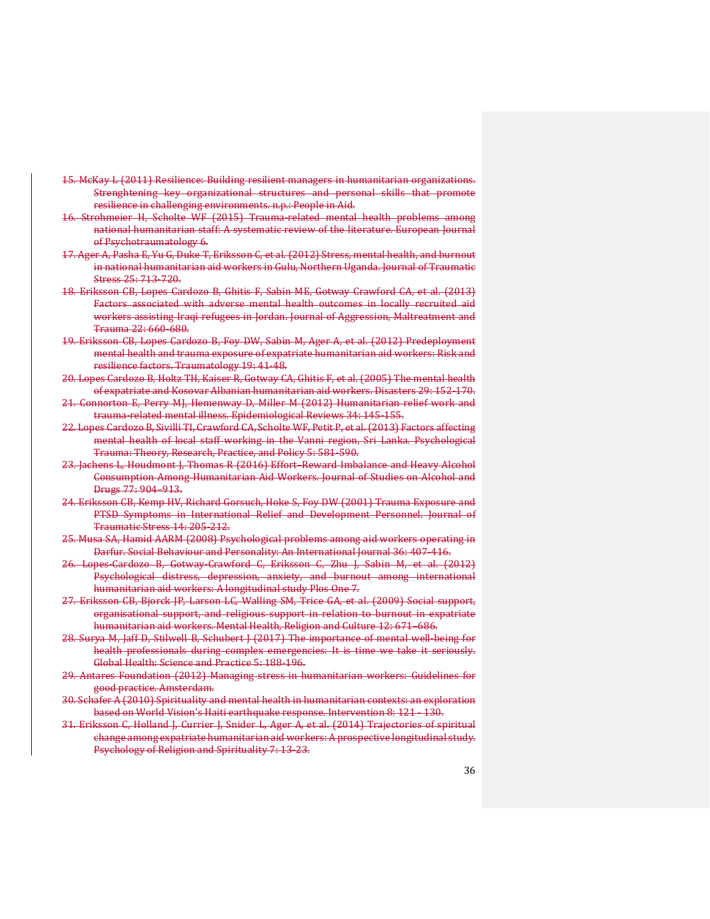- 15. McKay L (2011) Resilience: Building resilient managers in humanitarian organizations. Strenghtening key organizational structures and personal skills that promote resilience in challenging environments. n.p.: People in Aid.
- 16. Strohmeier H, Scholte WF (2015) Trauma-related mental health problems among national humanitarian staff: A systematic review of the literature. European Journal of Psychotraumatology 6.
- 17. Ager A, Pasha E, Yu G, Duke T, Eriksson C, et al. (2012) Stress, mental health, and burnout in national humanitarian aid workers in Gulu, Northern Uganda. Journal of Traumatic Stress 25: 713-720.
- 18. Eriksson CB, Lopes Cardozo B, Ghitis F, Sabin ME, Gotway Crawford CA, et al. (2013) Factors associated with adverse mental health outcomes in locally recruited aid workers assisting Iraqi refugees in Jordan. Journal of Aggression, Maltreatment and Trauma 22: 660-680.
- 19. Eriksson CB, Lopes Cardozo B, Foy DW, Sabin M, Ager A, et al. (2012) Predeployment mental health and trauma exposure of expatriate humanitarian aid workers: Risk and resilience factors. Traumatology 19: 41-48.
- 20. Lopes Cardozo B, Holtz TH, Kaiser R, Gotway CA, Ghitis F, et al. (2005) The mental health of expatriate and Kosovar Albanian humanitarian aid workers. Disasters 29: 152-170.
- 21. Connorton E, Perry MJ, Hemenway D, Miller M (2012) Humanitarian relief work and trauma-related mental illness. Epidemiological Reviews 34: 145-155.
- 22. Lopes Cardozo B, Sivilli TI, Crawford CA, Scholte WF, Petit P, et al. (2013) Factors affecting mental health of local staff working in the Vanni region, Sri Lanka. Psychological Trauma: Theory, Research, Practice, and Policy 5: 581-590.
- 23. Jachens L, Houdmont J, Thomas R (2016) Effort–Reward Imbalance and Heavy Alcohol Consumption Among Humanitarian Aid Workers. Journal of Studies on Alcohol and Drugs 77: 904–913.
- 24. Eriksson CB, Kemp HV, Richard Gorsuch, Hoke S, Foy DW (2001) Trauma Exposure and PTSD Symptoms in International Relief and Development Personnel. Journal of Traumatic Stress 14: 205-212.
- 25. Musa SA, Hamid AARM (2008) Psychological problems among aid workers operating in Darfur. Social Behaviour and Personality: An International Journal 36: 407-416.
- 26. Lopes-Cardozo B, Gotway-Crawford C, Eriksson C, Zhu J, Sabin M, et al. (2012) Psychological distress, depression, anxiety, and burnout among international humanitarian aid workers: A longitudinal study Plos One 7.
- 27. Eriksson CB, Bjorck JP, Larson LC, Walling SM, Trice GA, et al. (2009) Social support, organisational support, and religious support in relation to burnout in expatriate humanitarian aid workers. Mental Health, Religion and Culture 12: 671–686.
- 28. Surya M, Jaff D, Stilwell B, Schubert J (2017) The importance of mental well-being for health professionals during complex emergencies: It is time we take it seriously. Global Health: Science and Practice 5: 188-196.
- 29. Antares Foundation (2012) Managing stress in humanitarian workers: Guidelines for good practice. Amsterdam.
- 30. Schafer A (2010) Spirituality and mental health in humanitarian contexts: an exploration based on World Vision's Haiti earthquake response. Intervention 8: 121 - 130.
- 31. Eriksson C, Holland J, Currier J, Snider L, Ager A, et al. (2014) Trajectories of spiritual change among expatriate humanitarian aid workers: A prospective longitudinal study. Psychology of Religion and Spirituality 7: 13-23.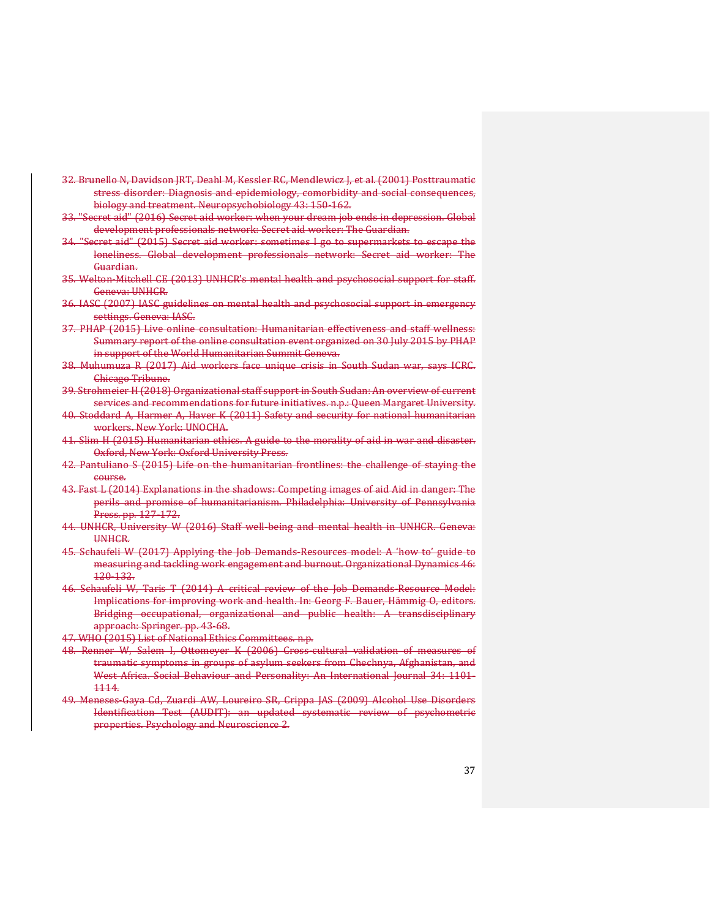- 32. Brunello N, Davidson JRT, Deahl M, Kessler RC, Mendlewicz J, et al. (2001) Posttraumatic stress disorder: Diagnosis and epidemiology, comorbidity and social consequences, biology and treatment. Neuropsychobiology 43: 150-162.
- 33. "Secret aid" (2016) Secret aid worker: when your dream job ends in depression. Global development professionals network: Secret aid worker: The Guardian.
- 34. "Secret aid" (2015) Secret aid worker: sometimes I go to supermarkets to escape the loneliness. Global development professionals network: Secret aid worker: The Guardian.
- 35. Welton-Mitchell CE (2013) UNHCR's mental health and psychosocial support for staff. Geneva: UNHCR.
- 36. IASC (2007) IASC guidelines on mental health and psychosocial support in emergency settings. Geneva: IASC.
- 37. PHAP (2015) Live online consultation: Humanitarian effectiveness and staff wellness: Summary report of the online consultation event organized on 30 July 2015 by PHAP in support of the World Humanitarian Summit Geneva.
- 38. Muhumuza R (2017) Aid workers face unique crisis in South Sudan war, says ICRC. Chicago Tribune.
- 39. Strohmeier H (2018) Organizational staff support in South Sudan: An overview of current services and recommendations for future initiatives. n.p.: Queen Margaret University.
- 40. Stoddard A, Harmer A, Haver K (2011) Safety and security for national humanitarian workers. New York: UNOCHA.
- 41. Slim H (2015) Humanitarian ethics. A guide to the morality of aid in war and disaster. Oxford, New York: Oxford University Press.
- 42. Pantuliano S (2015) Life on the humanitarian frontlines: the challenge of staying the course.
- 43. Fast L (2014) Explanations in the shadows: Competing images of aid Aid in danger: The perils and promise of humanitarianism. Philadelphia: University of Pennsylvania Press. pp. 127-172.
- 44. UNHCR, University W (2016) Staff well-being and mental health in UNHCR. Geneva: UNHCR.
- 45. Schaufeli W (2017) Applying the Job Demands-Resources model: A 'how to' guide to measuring and tackling work engagement and burnout. Organizational Dynamics 46: 120-132.
- 46. Schaufeli W, Taris T (2014) A critical review of the Job Demands-Resource Model: Implications for improving work and health. In: Georg F. Bauer, Hämmig O, editors. Bridging occupational, organizational and public health: A transdisciplinary approach: Springer. pp. 43-68.
- 47. WHO (2015) List of National Ethics Committees. n.p.
- 48. Renner W, Salem I, Ottomeyer K (2006) Cross-cultural validation of measures of traumatic symptoms in groups of asylum seekers from Chechnya, Afghanistan, and West Africa. Social Behaviour and Personality: An International Journal 34: 1101- 1114.
- 49. Meneses-Gaya Cd, Zuardi AW, Loureiro SR, Crippa JAS (2009) Alcohol Use Disorders Identification Test (AUDIT): an updated systematic review of psychometric properties. Psychology and Neuroscience 2.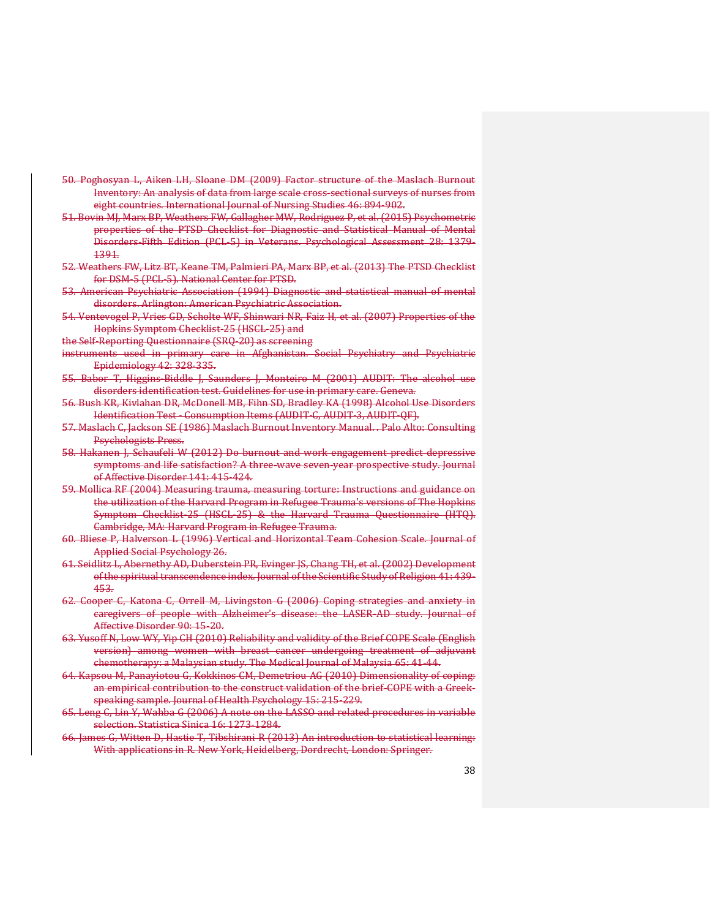- 50. Poghosyan L, Aiken LH, Sloane DM (2009) Factor structure of the Maslach Burnout Inventory: An analysis of data from large scale cross-sectional surveys of nurses from eight countries. International Journal of Nursing Studies 46: 894-902.
- 51. Bovin MJ, Marx BP, Weathers FW, Gallagher MW, Rodriguez P, et al. (2015) Psychometric properties of the PTSD Checklist for Diagnostic and Statistical Manual of Mental Disorders-Fifth Edition (PCL-5) in Veterans. Psychological Assessment 28: 1379- 1391.
- 52. Weathers FW, Litz BT, Keane TM, Palmieri PA, Marx BP, et al. (2013) The PTSD Checklist for DSM-5 (PCL-5). National Center for PTSD.
- 53. American Psychiatric Association (1994) Diagnostic and statistical manual of mental disorders. Arlington: American Psychiatric Association.
- 54. Ventevogel P, Vries GD, Scholte WF, Shinwari NR, Faiz H, et al. (2007) Properties of the Hopkins Symptom Checklist-25 (HSCL-25) and
- the Self-Reporting Questionnaire (SRQ-20) as screening
- instruments used in primary care in Afghanistan. Social Psychiatry and Psychiatric Epidemiology 42: 328-335.
- 55. Babor T, Higgins-Biddle J, Saunders J, Monteiro M (2001) AUDIT: The alcohol use disorders identification test. Guidelines for use in primary care. Geneva.
- 56. Bush KR, Kivlahan DR, McDonell MB, Fihn SD, Bradley KA (1998) Alcohol Use Disorders Identification Test - Consumption Items (AUDIT-C, AUDIT-3, AUDIT-QF).
- 57. Maslach C, Jackson SE (1986) Maslach Burnout Inventory Manual. . Palo Alto: Consulting Psychologists Press.
- 58. Hakanen J, Schaufeli W (2012) Do burnout and work engagement predict depressive symptoms and life satisfaction? A three-wave seven-year prospective study. Journal of Affective Disorder 141: 415-424.
- 59. Mollica RF (2004) Measuring trauma, measuring torture: Instructions and guidance on the utilization of the Harvard Program in Refugee Trauma's versions of The Hopkins Symptom Checklist-25 (HSCL-25) & the Harvard Trauma Questionnaire (HTQ). Cambridge, MA: Harvard Program in Refugee Trauma.
- 60. Bliese P, Halverson L (1996) Vertical and Horizontal Team Cohesion Scale. Journal of Applied Social Psychology 26.
- 61. Seidlitz L, Abernethy AD, Duberstein PR, Evinger JS, Chang TH, et al. (2002) Development of the spiritual transcendence index. Journal of the Scientific Study of Religion 41: 439- 453.
- 62. Cooper C, Katona C, Orrell M, Livingston G (2006) Coping strategies and anxiety in caregivers of people with Alzheimer's disease: the LASER-AD study. Journal of Affective Disorder 90: 15-20.
- 63. Yusoff N, Low WY, Yip CH (2010) Reliability and validity of the Brief COPE Scale (English version) among women with breast cancer undergoing treatment of adjuvant chemotherapy: a Malaysian study. The Medical Journal of Malaysia 65: 41-44.
- 64. Kapsou M, Panayiotou G, Kokkinos CM, Demetriou AG (2010) Dimensionality of coping: an empirical contribution to the construct validation of the brief-COPE with a Greekspeaking sample. Journal of Health Psychology 15: 215-229.
- 65. Leng C, Lin Y, Wahba G (2006) A note on the LASSO and related procedures in variable selection. Statistica Sinica 16: 1273-1284.
- 66. James G, Witten D, Hastie T, Tibshirani R (2013) An introduction to statistical learning: With applications in R. New York, Heidelberg, Dordrecht, London: Springer.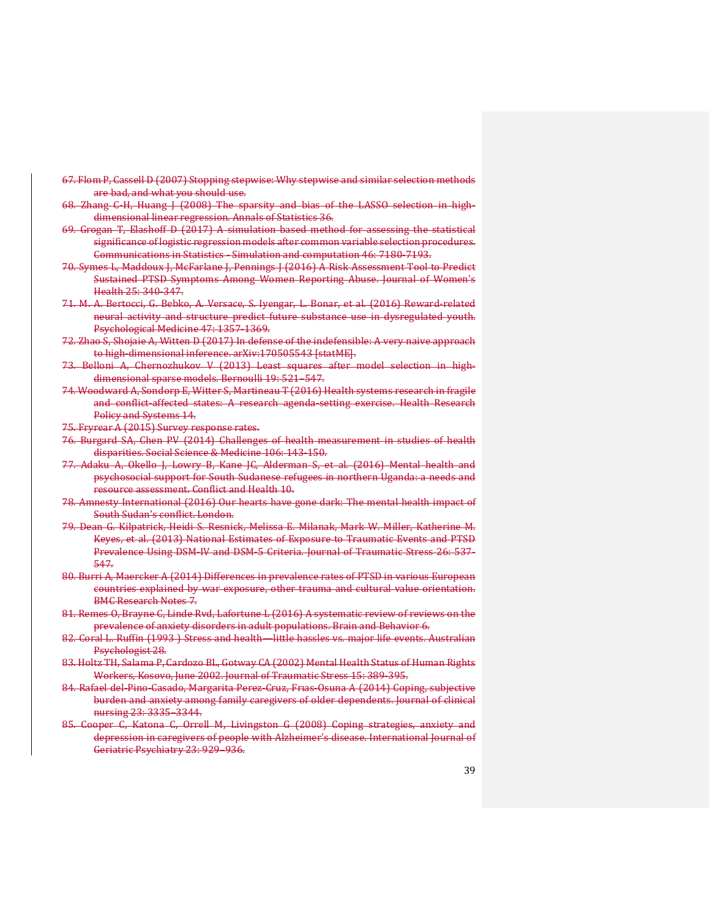- 67. Flom P, Cassell D (2007) Stopping stepwise: Why stepwise and similar selection methods are bad, and what you should use.
- 68. Zhang C-H, Huang J (2008) The sparsity and bias of the LASSO selection in highdimensional linear regression. Annals of Statistics 36.
- 69. Grogan T, Elashoff D (2017) A simulation based method for assessing the statistical significance of logistic regression models after common variable selection procedures. Communications in Statistics - Simulation and computation 46: 7180-7193.
- 70. Symes L, Maddoux J, McFarlane J, Pennings J (2016) A Risk Assessment Tool to Predict Sustained PTSD Symptoms Among Women Reporting Abuse. Journal of Women's Health 25: 340-347.
- 71. M. A. Bertocci, G. Bebko, A. Versace, S. Iyengar, L. Bonar, et al. (2016) Reward-related neural activity and structure predict future substance use in dysregulated youth. Psychological Medicine 47: 1357-1369.
- 72. Zhao S, Shojaie A, Witten D (2017) In defense of the indefensible: A very naive approach to high-dimensional inference. arXiv:170505543 [statME].
- 73. Belloni A, Chernozhukov V (2013) Least squares after model selection in highdimensional sparse models. Bernoulli 19: 521–547.
- 74. Woodward A, Sondorp E, Witter S, Martineau T (2016) Health systems research in fragile and conflict-affected states: A research agenda-setting exercise. Health Research Policy and Systems 14.
- 75. Fryrear A (2015) Survey response rates.
- 76. Burgard SA, Chen PV (2014) Challenges of health measurement in studies of health disparities. Social Science & Medicine 106: 143-150.
- 77. Adaku A, Okello J, Lowry B, Kane JC, Alderman S, et al. (2016) Mental health and psychosocial support for South Sudanese refugees in northern Uganda: a needs and resource assessment. Conflict and Health 10.
- 78. Amnesty International (2016) Our hearts have gone dark: The mental health impact of South Sudan's conflict. London.
- 79. Dean G. Kilpatrick, Heidi S. Resnick, Melissa E. Milanak, Mark W. Miller, Katherine M. Keyes, et al. (2013) National Estimates of Exposure to Traumatic Events and PTSD Prevalence Using DSM-IV and DSM-5 Criteria. Journal of Traumatic Stress 26: 537- 547.
- 80. Burri A, Maercker A (2014) Differences in prevalence rates of PTSD in various European countries explained by war exposure, other trauma and cultural value orientation. BMC Research Notes 7.
- 81. Remes O, Brayne C, Linde Rvd, Lafortune L (2016) A systematic review of reviews on the prevalence of anxiety disorders in adult populations. Brain and Behavior 6.
- 82. Coral L. Ruffin (1993 ) Stress and health—little hassles vs. major life events. Australian Psychologist 28.
- 83. Holtz TH, Salama P, Cardozo BL, Gotway CA (2002) Mental Health Status of Human Rights Workers, Kosovo, June 2002. Journal of Traumatic Stress 15: 389-395.
- 84. Rafael del-Pino-Casado, Margarita Perez-Cruz, Frıas-Osuna A (2014) Coping, subjective burden and anxiety among family caregivers of older dependents. Journal of clinical nursing 23: 3335–3344.
- 85. Cooper C, Katona C, Orrell M, Livingston G (2008) Coping strategies, anxiety and depression in caregivers of people with Alzheimer's disease. International Journal of Geriatric Psychiatry 23: 929–936.